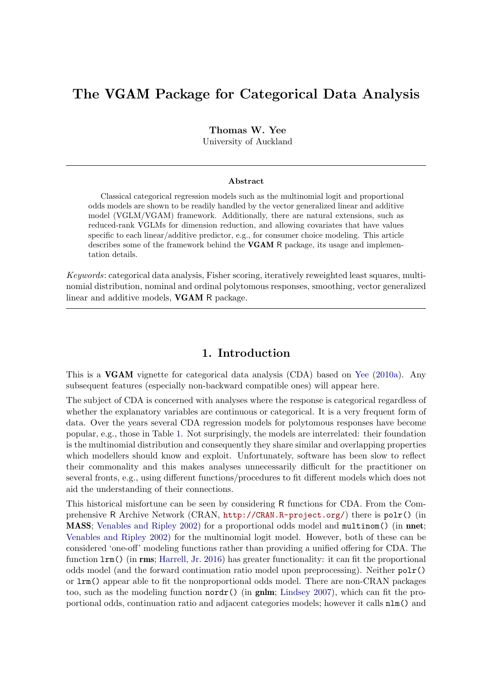# The VGAM Package for Categorical Data Analysis

Thomas W. Yee

University of Auckland

#### Abstract

Classical categorical regression models such as the multinomial logit and proportional odds models are shown to be readily handled by the vector generalized linear and additive model (VGLM/VGAM) framework. Additionally, there are natural extensions, such as reduced-rank VGLMs for dimension reduction, and allowing covariates that have values specific to each linear/additive predictor, e.g., for consumer choice modeling. This article describes some of the framework behind the VGAM R package, its usage and implementation details.

Keywords: categorical data analysis, Fisher scoring, iteratively reweighted least squares, multinomial distribution, nominal and ordinal polytomous responses, smoothing, vector generalized linear and additive models, VGAM R package.

# 1. Introduction

This is a VGAM vignette for categorical data analysis (CDA) based on [Yee](#page-28-0) [\(2010a\)](#page-28-0). Any subsequent features (especially non-backward compatible ones) will appear here.

The subject of CDA is concerned with analyses where the response is categorical regardless of whether the explanatory variables are continuous or categorical. It is a very frequent form of data. Over the years several CDA regression models for polytomous responses have become popular, e.g., those in Table [1.](#page-1-0) Not surprisingly, the models are interrelated: their foundation is the multinomial distribution and consequently they share similar and overlapping properties which modellers should know and exploit. Unfortunately, software has been slow to reflect their commonality and this makes analyses unnecessarily difficult for the practitioner on several fronts, e.g., using different functions/procedures to fit different models which does not aid the understanding of their connections.

This historical misfortune can be seen by considering R functions for CDA. From the Comprehensive R Archive Network (CRAN, <http://CRAN.R-project.org/>) there is polr() (in MASS; [Venables and Ripley](#page-28-1) [2002\)](#page-28-1) for a proportional odds model and multinom() (in nnet; [Venables and Ripley](#page-28-1) [2002\)](#page-28-1) for the multinomial logit model. However, both of these can be considered 'one-off' modeling functions rather than providing a unified offering for CDA. The function  $lcm()$  (in rms; [Harrell, Jr.](#page-26-0) [2016\)](#page-26-0) has greater functionality: it can fit the proportional odds model (and the forward continuation ratio model upon preprocessing). Neither polr() or lrm() appear able to fit the nonproportional odds model. There are non-CRAN packages too, such as the modeling function  $\text{nor} \text{dr}(\cdot)$  (in gnlm; [Lindsey](#page-27-0) [2007\)](#page-27-0), which can fit the proportional odds, continuation ratio and adjacent categories models; however it calls nlm() and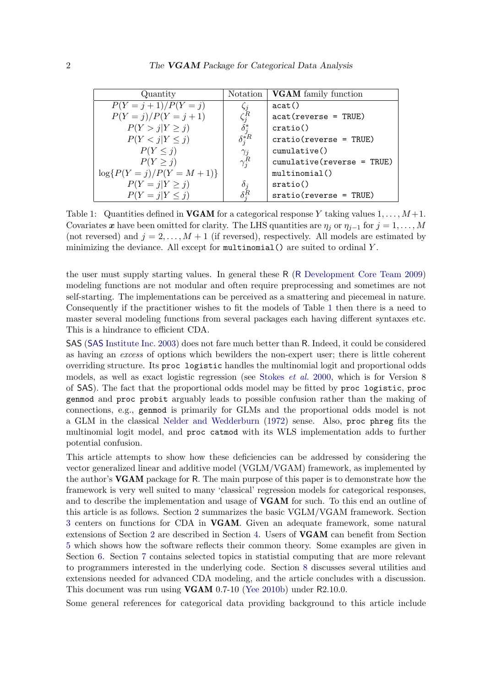| Quantity                         | Notation        | <b>VGAM</b> family function   |
|----------------------------------|-----------------|-------------------------------|
| $P(Y = j + 1)/P(Y = j)$          | $\zeta_j$       | $\text{act}()$                |
| $P(Y = j)/P(Y = j + 1)$          | $\zeta_i^R$     | $\text{acat}(reverse = TRUE)$ |
| $P(Y > j   Y \geq j)$            | $\delta_i^*$    | cratio()                      |
| $P(Y < j   Y \le j)$             | $\delta_i^{*R}$ | $cratio(reverse = TRUE)$      |
| $P(Y \leq j)$                    | $\gamma_j$      | cumulative()                  |
| $P(Y \geq j)$                    | $\gamma_i^R$    | cumulative(reverse = TRUE)    |
| $\log\{P(Y = j)/P(Y = M + 1)\}\$ |                 | multinomial()                 |
| $P(Y = j   Y \geq j)$            |                 | sratio()                      |
| $P(Y = j   Y \leq j)$            |                 | $sratio(reverse = TRUE)$      |

<span id="page-1-0"></span>Table 1: Quantities defined in **VGAM** for a categorical response Y taking values  $1, \ldots, M+1$ . Covariates x have been omitted for clarity. The LHS quantities are  $\eta_j$  or  $\eta_{j-1}$  for  $j = 1, \ldots, M$ (not reversed) and  $j = 2, \ldots, M + 1$  (if reversed), respectively. All models are estimated by minimizing the deviance. All except for multinomial() are suited to ordinal Y .

the user must supply starting values. In general these R (R [Development Core Team](#page-28-2) [2009\)](#page-28-2) modeling functions are not modular and often require preprocessing and sometimes are not self-starting. The implementations can be perceived as a smattering and piecemeal in nature. Consequently if the practitioner wishes to fit the models of Table [1](#page-1-0) then there is a need to master several modeling functions from several packages each having different syntaxes etc. This is a hindrance to efficient CDA.

SAS (SAS [Institute Inc.](#page-28-3) [2003\)](#page-28-3) does not fare much better than R. Indeed, it could be considered as having an excess of options which bewilders the non-expert user; there is little coherent overriding structure. Its proc logistic handles the multinomial logit and proportional odds models, as well as exact logistic regression (see [Stokes](#page-28-4) et al. [2000,](#page-28-4) which is for Version 8 of SAS). The fact that the proportional odds model may be fitted by proc logistic, proc genmod and proc probit arguably leads to possible confusion rather than the making of connections, e.g., genmod is primarily for GLMs and the proportional odds model is not a GLM in the classical [Nelder and Wedderburn](#page-27-1) [\(1972\)](#page-27-1) sense. Also, proc phreg fits the multinomial logit model, and proc catmod with its WLS implementation adds to further potential confusion.

This article attempts to show how these deficiencies can be addressed by considering the vector generalized linear and additive model (VGLM/VGAM) framework, as implemented by the author's VGAM package for R. The main purpose of this paper is to demonstrate how the framework is very well suited to many 'classical' regression models for categorical responses, and to describe the implementation and usage of **VGAM** for such. To this end an outline of this article is as follows. Section [2](#page-2-0) summarizes the basic VGLM/VGAM framework. Section [3](#page-5-0) centers on functions for CDA in VGAM. Given an adequate framework, some natural extensions of Section [2](#page-2-0) are described in Section [4.](#page-6-0) Users of VGAM can benefit from Section [5](#page-9-0) which shows how the software reflects their common theory. Some examples are given in Section [6.](#page-10-0) Section [7](#page-18-0) contains selected topics in statistial computing that are more relevant to programmers interested in the underlying code. Section [8](#page-20-0) discusses several utilities and extensions needed for advanced CDA modeling, and the article concludes with a discussion. This document was run using VGAM 0.7-10 [\(Yee](#page-28-5) [2010b\)](#page-28-5) under R2.10.0.

Some general references for categorical data providing background to this article include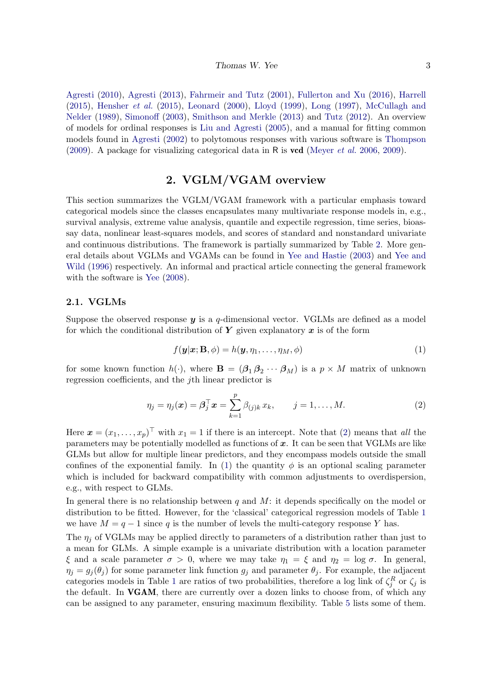[Agresti](#page-25-0) [\(2010\)](#page-25-0), [Agresti](#page-25-1) [\(2013\)](#page-25-1), [Fahrmeir and Tutz](#page-26-1) [\(2001\)](#page-26-1), [Fullerton and Xu](#page-26-2) [\(2016\)](#page-26-2), [Harrell](#page-26-3)  $(2015)$ , [Hensher](#page-26-4) *et al.*  $(2015)$ , [Leonard](#page-27-2)  $(2000)$ , [Lloyd](#page-27-3)  $(1999)$ , [Long](#page-27-4)  $(1997)$ , [McCullagh and](#page-27-5) [Nelder](#page-27-5) [\(1989\)](#page-27-5), [Simonoff](#page-28-6) [\(2003\)](#page-28-6), [Smithson and Merkle](#page-28-7) [\(2013\)](#page-28-7) and [Tutz](#page-28-8) [\(2012\)](#page-28-8). An overview of models for ordinal responses is [Liu and Agresti](#page-27-6) [\(2005\)](#page-27-6), and a manual for fitting common models found in [Agresti](#page-25-2) [\(2002\)](#page-25-2) to polytomous responses with various software is [Thompson](#page-28-9) [\(2009\)](#page-28-9). A package for visualizing categorical data in R is  $\text{vcd}$  [\(Meyer](#page-27-7) *et al.* [2006,](#page-27-7) [2009\)](#page-27-8).

# 2. VGLM/VGAM overview

<span id="page-2-0"></span>This section summarizes the VGLM/VGAM framework with a particular emphasis toward categorical models since the classes encapsulates many multivariate response models in, e.g., survival analysis, extreme value analysis, quantile and expectile regression, time series, bioassay data, nonlinear least-squares models, and scores of standard and nonstandard univariate and continuous distributions. The framework is partially summarized by Table [2.](#page-3-0) More general details about VGLMs and VGAMs can be found in [Yee and Hastie](#page-28-10) [\(2003\)](#page-28-10) and [Yee and](#page-29-0) [Wild](#page-29-0) [\(1996\)](#page-29-0) respectively. An informal and practical article connecting the general framework with the software is [Yee](#page-28-11) [\(2008\)](#page-28-11).

#### 2.1. VGLMs

Suppose the observed response  $y$  is a q-dimensional vector. VGLMs are defined as a model for which the conditional distribution of  $Y$  given explanatory  $x$  is of the form

<span id="page-2-2"></span>
$$
f(\mathbf{y}|\mathbf{x}; \mathbf{B}, \phi) = h(\mathbf{y}, \eta_1, \dots, \eta_M, \phi)
$$
\n(1)

for some known function  $h(\cdot)$ , where  $\mathbf{B} = (\beta_1 \beta_2 \cdots \beta_M)$  is a  $p \times M$  matrix of unknown regression coefficients, and the jth linear predictor is

<span id="page-2-1"></span>
$$
\eta_j = \eta_j(\boldsymbol{x}) = \boldsymbol{\beta}_j^\top \boldsymbol{x} = \sum_{k=1}^p \beta_{(j)k} x_k, \qquad j = 1, \dots, M. \tag{2}
$$

Here  $\boldsymbol{x} = (x_1, \ldots, x_p)^\top$  with  $x_1 = 1$  if there is an intercept. Note that [\(2\)](#page-2-1) means that all the parameters may be potentially modelled as functions of  $x$ . It can be seen that VGLMs are like GLMs but allow for multiple linear predictors, and they encompass models outside the small confines of the exponential family. In [\(1\)](#page-2-2) the quantity  $\phi$  is an optional scaling parameter which is included for backward compatibility with common adjustments to overdispersion, e.g., with respect to GLMs.

In general there is no relationship between  $q$  and  $M$ : it depends specifically on the model or distribution to be fitted. However, for the 'classical' categorical regression models of Table [1](#page-1-0) we have  $M = q - 1$  since q is the number of levels the multi-category response Y has.

The  $\eta_j$  of VGLMs may be applied directly to parameters of a distribution rather than just to a mean for GLMs. A simple example is a univariate distribution with a location parameter  $\xi$  and a scale parameter  $\sigma > 0$ , where we may take  $\eta_1 = \xi$  and  $\eta_2 = \log \sigma$ . In general,  $\eta_j = g_j(\theta_j)$  for some parameter link function  $g_j$  and parameter  $\theta_j$ . For example, the adjacent categories models in Table [1](#page-1-0) are ratios of two probabilities, therefore a log link of  $\zeta_j^R$  or  $\zeta_j$  is the default. In VGAM, there are currently over a dozen links to choose from, of which any can be assigned to any parameter, ensuring maximum flexibility. Table [5](#page-11-0) lists some of them.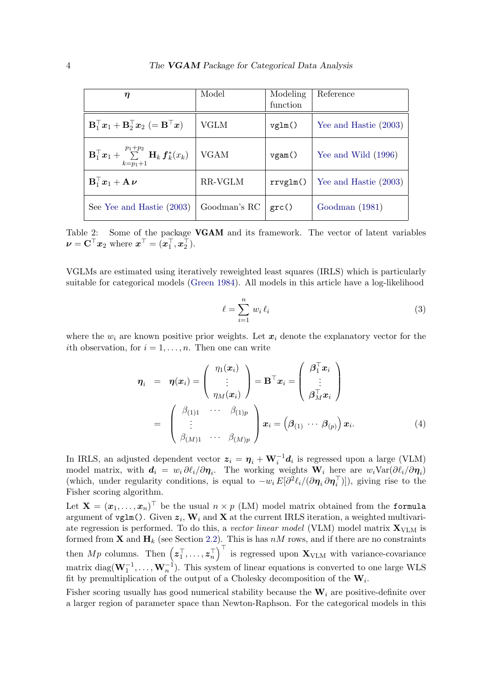| η                                                                                                                 | Model        | Modeling | Reference             |
|-------------------------------------------------------------------------------------------------------------------|--------------|----------|-----------------------|
|                                                                                                                   |              | function |                       |
| $\mathbf{B}_1^\top \bm{x}_1 + \mathbf{B}_2^\top \bm{x}_2$ (= $\mathbf{B}^\top \bm{x}$ )                           | <b>VGLM</b>  | vglm()   | Yee and Hastie (2003) |
| $\mathbf{B}_1^{\top} \boldsymbol{x}_1 + \sum_{k}^{p_1+p_2} \mathbf{H}_k \boldsymbol{f}_k^*(x_k)$<br>$k = p_1 + 1$ | <b>VGAM</b>  | vgam()   | Yee and Wild (1996)   |
| $\mathbf{B}_1^\top \boldsymbol{x}_1 + \mathbf{A} \, \boldsymbol{\nu}$                                             | RR-VGLM      | rrvglm() | Yee and Hastie (2003) |
| See Yee and Hastie (2003)                                                                                         | Goodman's RC | grc()    | Goodman $(1981)$      |

<span id="page-3-0"></span>Table 2: Some of the package **VGAM** and its framework. The vector of latent variables  $\boldsymbol{\nu} = \mathbf{C}^\top \boldsymbol{x}_2 \text{ where } \boldsymbol{x}^\top = (\boldsymbol{x}_1^\top, \boldsymbol{x}_2^\top).$ 

VGLMs are estimated using iteratively reweighted least squares (IRLS) which is particularly suitable for categorical models [\(Green](#page-26-6) [1984\)](#page-26-6). All models in this article have a log-likelihood

$$
\ell = \sum_{i=1}^{n} w_i \,\ell_i \tag{3}
$$

where the  $w_i$  are known positive prior weights. Let  $x_i$  denote the explanatory vector for the ith observation, for  $i = 1, \ldots, n$ . Then one can write

<span id="page-3-1"></span>
$$
\boldsymbol{\eta}_{i} = \boldsymbol{\eta}(\boldsymbol{x}_{i}) = \begin{pmatrix} \eta_{1}(\boldsymbol{x}_{i}) \\ \vdots \\ \eta_{M}(\boldsymbol{x}_{i}) \end{pmatrix} = \mathbf{B}^{\top}\boldsymbol{x}_{i} = \begin{pmatrix} \boldsymbol{\beta}_{1}^{\top}\boldsymbol{x}_{i} \\ \vdots \\ \boldsymbol{\beta}_{M}^{\top}\boldsymbol{x}_{i} \end{pmatrix}
$$

$$
= \begin{pmatrix} \beta_{(1)1} & \cdots & \beta_{(1)p} \\ \vdots & & \\ \beta_{(M)1} & \cdots & \beta_{(M)p} \end{pmatrix} \boldsymbol{x}_{i} = (\boldsymbol{\beta}_{(1)} \cdots \boldsymbol{\beta}_{(p)}) \boldsymbol{x}_{i}.
$$
(4)

In IRLS, an adjusted dependent vector  $z_i = \eta_i + \mathbf{W}_i^{-1} d_i$  is regressed upon a large (VLM) model matrix, with  $d_i = w_i \partial \ell_i / \partial \eta_i$ . The working weights  $W_i$  here are  $w_i \text{Var}(\partial \ell_i / \partial \eta_i)$ (which, under regularity conditions, is equal to  $-w_i E[\partial^2 \ell_i/(\partial \eta_i \partial \eta_i^{\top})]$ ), giving rise to the Fisher scoring algorithm.

Let  $\mathbf{X} = (\boldsymbol{x}_1, \dots, \boldsymbol{x}_n)^\top$  be the usual  $n \times p$  (LM) model matrix obtained from the formula argument of  $vglm()$ . Given  $z_i$ ,  $W_i$  and X at the current IRLS iteration, a weighted multivariate regression is performed. To do this, a vector linear model (VLM) model matrix  $\mathbf{X}_{\text{VLM}}$  is formed from **X** and  $H_k$  (see Section [2.2\)](#page-4-0). This is has  $nM$  rows, and if there are no constraints then  $Mp$  columns. Then  $(z_1^\top, \ldots, z_n^\top)^\top$  is regressed upon  $\mathbf{X}_{\text{VLM}}$  with variance-covariance matrix diag( $\mathbf{W}_1^{-1}, \ldots, \mathbf{W}_n^{-1}$ ). This system of linear equations is converted to one large WLS fit by premultiplication of the output of a Cholesky decomposition of the  $\mathbf{W}_i$ .

Fisher scoring usually has good numerical stability because the  $W_i$  are positive-definite over a larger region of parameter space than Newton-Raphson. For the categorical models in this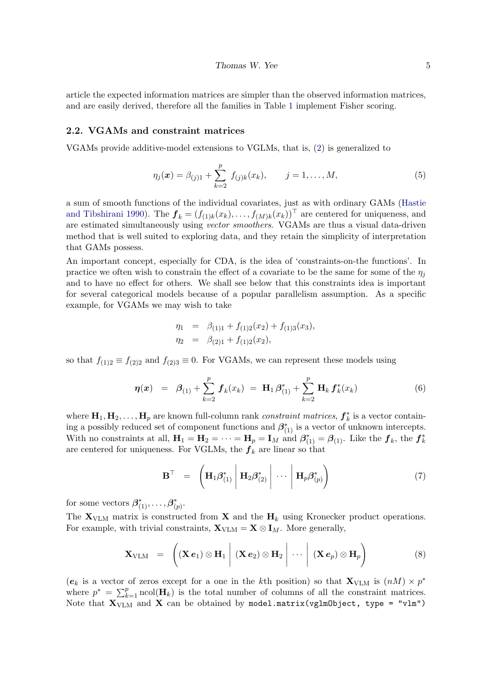article the expected information matrices are simpler than the observed information matrices, and are easily derived, therefore all the families in Table [1](#page-1-0) implement Fisher scoring.

#### <span id="page-4-0"></span>2.2. VGAMs and constraint matrices

VGAMs provide additive-model extensions to VGLMs, that is, [\(2\)](#page-2-1) is generalized to

$$
\eta_j(\boldsymbol{x}) = \beta_{(j)1} + \sum_{k=2}^p f_{(j)k}(x_k), \qquad j = 1, ..., M,
$$
\n(5)

a sum of smooth functions of the individual covariates, just as with ordinary GAMs [\(Hastie](#page-26-7) [and Tibshirani](#page-26-7) [1990\)](#page-26-7). The  $\boldsymbol{f}_k = (f_{(1)k}(x_k), \dots, f_{(M)k}(x_k))^{\top}$  are centered for uniqueness, and are estimated simultaneously using vector smoothers. VGAMs are thus a visual data-driven method that is well suited to exploring data, and they retain the simplicity of interpretation that GAMs possess.

An important concept, especially for CDA, is the idea of 'constraints-on-the functions'. In practice we often wish to constrain the effect of a covariate to be the same for some of the  $\eta_i$ and to have no effect for others. We shall see below that this constraints idea is important for several categorical models because of a popular parallelism assumption. As a specific example, for VGAMs we may wish to take

$$
\eta_1 = \beta_{(1)1} + f_{(1)2}(x_2) + f_{(1)3}(x_3),
$$
  
\n
$$
\eta_2 = \beta_{(2)1} + f_{(1)2}(x_2),
$$

so that  $f_{(1)2} \equiv f_{(2)2}$  and  $f_{(2)3} \equiv 0$ . For VGAMs, we can represent these models using

<span id="page-4-2"></span>
$$
\eta(x) = \beta_{(1)} + \sum_{k=2}^p f_k(x_k) = \mathbf{H}_1 \beta_{(1)}^* + \sum_{k=2}^p \mathbf{H}_k \, \mathbf{f}_k^*(x_k) \tag{6}
$$

where  $H_1, H_2, \ldots, H_p$  are known full-column rank *constraint matrices*,  $f_k^*$  is a vector containing a possibly reduced set of component functions and  $\beta_{(1)}^*$  is a vector of unknown intercepts. With no constraints at all,  $\mathbf{H}_1 = \mathbf{H}_2 = \cdots = \mathbf{H}_p = \mathbf{I}_M$  and  $\boldsymbol{\beta}_{(1)}^* = \boldsymbol{\beta}_{(1)}$ . Like the  $\boldsymbol{f}_k$ , the  $\boldsymbol{f}_k^*$ are centered for uniqueness. For VGLMs, the  $f_k$  are linear so that

<span id="page-4-1"></span>
$$
\mathbf{B}^{\top} = \left( \mathbf{H}_1 \boldsymbol{\beta}^*_{(1)} \middle| \mathbf{H}_2 \boldsymbol{\beta}^*_{(2)} \middle| \cdots \middle| \mathbf{H}_p \boldsymbol{\beta}^*_{(p)} \right) \tag{7}
$$

for some vectors  $\beta^*_{(1)}, \ldots, \beta^*_{(p)}$ .

The  $X<sub>VLM</sub>$  matrix is constructed from X and the  $H<sub>k</sub>$  using Kronecker product operations. For example, with trivial constraints,  $\mathbf{X}_{\text{VLM}} = \mathbf{X} \otimes \mathbf{I}_M$ . More generally,

$$
\mathbf{X}_{\text{VLM}} = \left( (\mathbf{X} \, \mathbf{e}_1) \otimes \mathbf{H}_1 \middle| (\mathbf{X} \, \mathbf{e}_2) \otimes \mathbf{H}_2 \middle| \cdots \middle| (\mathbf{X} \, \mathbf{e}_p) \otimes \mathbf{H}_p \right) \tag{8}
$$

 $(e_k$  is a vector of zeros except for a one in the kth position) so that  $\mathbf{X}_{VLM}$  is  $(nM) \times p^*$ where  $p^* = \sum_{k=1}^p \text{ncol}(\mathbf{H}_k)$  is the total number of columns of all the constraint matrices. Note that  $X_{VLM}$  and  $X$  can be obtained by model.matrix(vglmObject, type = "vlm")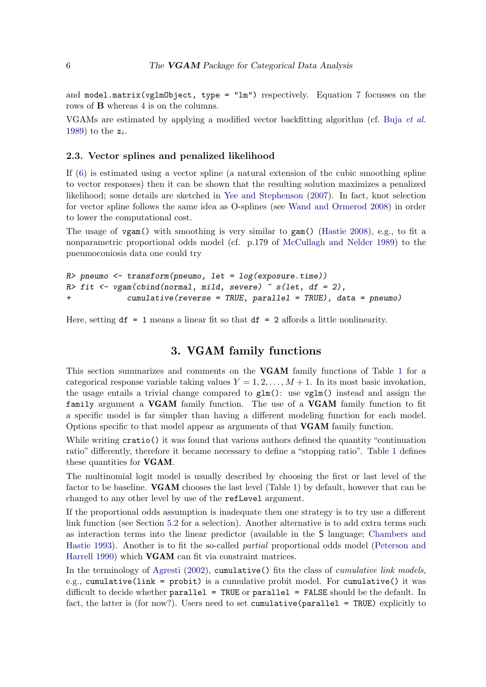and model.matrix(vglmObject, type = " $lm$ ") respectively. Equation [7](#page-4-1) focusses on the rows of **B** whereas [4](#page-3-1) is on the columns.

VGAMs are estimated by applying a modified vector backfitting algorithm (cf. Buja [et al.](#page-26-8) [1989\)](#page-26-8) to the  $z_i$ .

## 2.3. Vector splines and penalized likelihood

If [\(6\)](#page-4-2) is estimated using a vector spline (a natural extension of the cubic smoothing spline to vector responses) then it can be shown that the resulting solution maximizes a penalized likelihood; some details are sketched in [Yee and Stephenson](#page-28-12) [\(2007\)](#page-28-12). In fact, knot selection for vector spline follows the same idea as O-splines (see [Wand and Ormerod](#page-28-13) [2008\)](#page-28-13) in order to lower the computational cost.

The usage of vgam() with smoothing is very similar to gam() [\(Hastie](#page-26-9) [2008\)](#page-26-9), e.g., to fit a nonparametric proportional odds model (cf. p.179 of [McCullagh and Nelder](#page-27-5) [1989\)](#page-27-5) to the pneumoconiosis data one could try

```
R > pneumo \leq transform (pneumo, let = log(exposure.time))
R> fit <- vgam(cbind(normal, mild, severe) \degree s(let, df = 2),
+ cumulative(reverse = TRUE, parallel = TRUE), data = pneumo)
```
Here, setting  $df = 1$  means a linear fit so that  $df = 2$  affords a little nonlinearity.

# 3. VGAM family functions

<span id="page-5-0"></span>This section summarizes and comments on the VGAM family functions of Table [1](#page-1-0) for a categorical response variable taking values  $Y = 1, 2, ..., M + 1$ . In its most basic invokation, the usage entails a trivial change compared to glm(): use vglm() instead and assign the family argument a VGAM family function. The use of a VGAM family function to fit a specific model is far simpler than having a different modeling function for each model. Options specific to that model appear as arguments of that VGAM family function.

While writing cratio() it was found that various authors defined the quantity "continuation ratio" differently, therefore it became necessary to define a "stopping ratio". Table [1](#page-1-0) defines these quantities for VGAM.

The multinomial logit model is usually described by choosing the first or last level of the factor to be baseline. VGAM chooses the last level (Table [1\)](#page-1-0) by default, however that can be changed to any other level by use of the refLevel argument.

If the proportional odds assumption is inadequate then one strategy is to try use a different link function (see Section [5.2](#page-10-1) for a selection). Another alternative is to add extra terms such as interaction terms into the linear predictor (available in the S language; [Chambers and](#page-26-10) [Hastie](#page-26-10) [1993\)](#page-26-10). Another is to fit the so-called partial proportional odds model [\(Peterson and](#page-27-9) [Harrell](#page-27-9) [1990\)](#page-27-9) which VGAM can fit via constraint matrices.

In the terminology of [Agresti](#page-25-2) [\(2002\)](#page-25-2), cumulative() fits the class of *cumulative link models*, e.g., cumulative(link = probit) is a cumulative probit model. For cumulative() it was difficult to decide whether parallel = TRUE or parallel =  $FALSE$  should be the default. In fact, the latter is (for now?). Users need to set cumulative(parallel = TRUE) explicitly to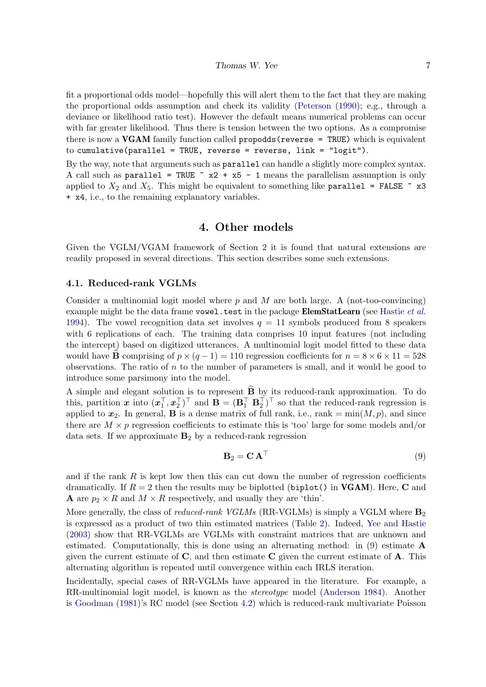#### Thomas W. Yee 7

fit a proportional odds model—hopefully this will alert them to the fact that they are making the proportional odds assumption and check its validity [\(Peterson](#page-27-10) [\(1990\)](#page-27-10); e.g., through a deviance or likelihood ratio test). However the default means numerical problems can occur with far greater likelihood. Thus there is tension between the two options. As a compromise there is now a **VGAM** family function called propodds (reverse  $=$  TRUE) which is equivalent to cumulative(parallel = TRUE, reverse = reverse,  $link = "logit").$ 

By the way, note that arguments such as parallel can handle a slightly more complex syntax. A call such as parallel = TRUE  $\tilde{z}$  x2 + x5 - 1 means the parallelism assumption is only applied to  $X_2$  and  $X_5$ . This might be equivalent to something like parallel = FALSE  $\tilde{ }$  x3 + x4, i.e., to the remaining explanatory variables.

# 4. Other models

<span id="page-6-0"></span>Given the VGLM/VGAM framework of Section [2](#page-2-0) it is found that natural extensions are readily proposed in several directions. This section describes some such extensions.

#### 4.1. Reduced-rank VGLMs

Consider a multinomial logit model where  $p$  and  $M$  are both large. A (not-too-convincing) example might be the data frame vowel.test in the package ElemStatLearn (see [Hastie](#page-26-11) et al. [1994\)](#page-26-11). The vowel recognition data set involves  $q = 11$  symbols produced from 8 speakers with 6 replications of each. The training data comprises 10 input features (not including the intercept) based on digitized utterances. A multinomial logit model fitted to these data would have **B** comprising of  $p \times (q-1) = 110$  regression coefficients for  $n = 8 \times 6 \times 11 = 528$ observations. The ratio of  $n$  to the number of parameters is small, and it would be good to introduce some parsimony into the model.

A simple and elegant solution is to represent  $\hat{B}$  by its reduced-rank approximation. To do this, partition  $x$  into  $(x_1^\top, x_2^\top)^\top$  and  $B = (B_1^\top B_2^\top)^\top$  so that the reduced-rank regression is applied to  $x_2$ . In general, **B** is a dense matrix of full rank, i.e., rank = min $(M, p)$ , and since there are  $M \times p$  regression coefficients to estimate this is 'too' large for some models and/or data sets. If we approximate  $B_2$  by a reduced-rank regression

<span id="page-6-1"></span>
$$
\mathbf{B}_2 = \mathbf{C} \, \mathbf{A}^\top \tag{9}
$$

and if the rank  $R$  is kept low then this can cut down the number of regression coefficients dramatically. If  $R = 2$  then the results may be biplotted (biplot() in **VGAM**). Here, **C** and **A** are  $p_2 \times R$  and  $M \times R$  respectively, and usually they are 'thin'.

More generally, the class of *reduced-rank VGLMs* (RR-VGLMs) is simply a VGLM where  $\mathbf{B}_2$ is expressed as a product of two thin estimated matrices (Table [2\)](#page-3-0). Indeed, [Yee and Hastie](#page-28-10) [\(2003\)](#page-28-10) show that RR-VGLMs are VGLMs with constraint matrices that are unknown and estimated. Computationally, this is done using an alternating method: in  $(9)$  estimate **A** given the current estimate of  $C$ , and then estimate  $C$  given the current estimate of  $A$ . This alternating algorithm is repeated until convergence within each IRLS iteration.

Incidentally, special cases of RR-VGLMs have appeared in the literature. For example, a RR-multinomial logit model, is known as the stereotype model [\(Anderson](#page-25-3) [1984\)](#page-25-3). Another is [Goodman](#page-26-5) [\(1981\)](#page-26-5)'s RC model (see Section [4.2\)](#page-7-0) which is reduced-rank multivariate Poisson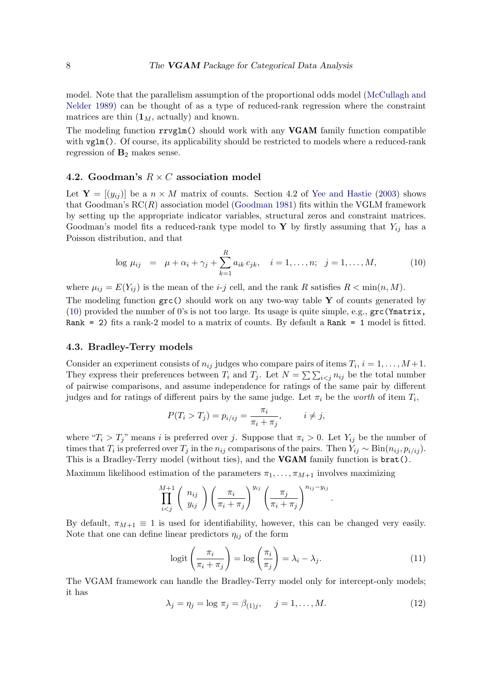model. Note that the parallelism assumption of the proportional odds model [\(McCullagh and](#page-27-5) [Nelder](#page-27-5) [1989\)](#page-27-5) can be thought of as a type of reduced-rank regression where the constraint matrices are thin  $(1_M, \text{ actually})$  and known.

The modeling function rrvglm() should work with any **VGAM** family function compatible with  $vglm()$ . Of course, its applicability should be restricted to models where a reduced-rank regression of  $B_2$  makes sense.

### <span id="page-7-0"></span>4.2. Goodman's  $R \times C$  association model

Let  $\mathbf{Y} = [(y_{ij})]$  be a  $n \times M$  matrix of counts. Section 4.2 of [Yee and Hastie](#page-28-10) [\(2003\)](#page-28-10) shows that Goodman's  $RC(R)$  association model [\(Goodman](#page-26-5) [1981\)](#page-26-5) fits within the VGLM framework by setting up the appropriate indicator variables, structural zeros and constraint matrices. Goodman's model fits a reduced-rank type model to Y by firstly assuming that  $Y_{ij}$  has a Poisson distribution, and that

<span id="page-7-1"></span>
$$
\log \mu_{ij} = \mu + \alpha_i + \gamma_j + \sum_{k=1}^{R} a_{ik} c_{jk}, \quad i = 1, \dots, n; \quad j = 1, \dots, M,
$$
 (10)

where  $\mu_{ij} = E(Y_{ij})$  is the mean of the *i-j* cell, and the rank R satisfies  $R < \min(n, M)$ .

The modeling function  $grc()$  should work on any two-way table Y of counts generated by [\(10\)](#page-7-1) provided the number of 0's is not too large. Its usage is quite simple, e.g.,  $grc(Y\text{matrix},$ Rank = 2) fits a rank-2 model to a matrix of counts. By default a Rank = 1 model is fitted.

#### 4.3. Bradley-Terry models

Consider an experiment consists of  $n_{ij}$  judges who compare pairs of items  $T_i$ ,  $i = 1, ..., M+1$ . They express their preferences between  $T_i$  and  $T_j$ . Let  $N = \sum \sum_{i < j} n_{ij}$  be the total number of pairwise comparisons, and assume independence for ratings of the same pair by different judges and for ratings of different pairs by the same judge. Let  $\pi_i$  be the *worth* of item  $T_i$ ,

$$
P(T_i > T_j) = p_{i/ij} = \frac{\pi_i}{\pi_i + \pi_j}, \qquad i \neq j,
$$

where " $T_i > T_j$ " means i is preferred over j. Suppose that  $\pi_i > 0$ . Let  $Y_{ij}$  be the number of times that  $T_i$  is preferred over  $T_j$  in the  $n_{ij}$  comparisons of the pairs. Then  $Y_{ij} \sim Bin(n_{ij}, p_{i/ij})$ . This is a Bradley-Terry model (without ties), and the **VGAM** family function is  $\text{brat}()$ .

Maximum likelihood estimation of the parameters  $\pi_1, \ldots, \pi_{M+1}$  involves maximizing

$$
\prod_{i
$$

By default,  $\pi_{M+1} \equiv 1$  is used for identifiability, however, this can be changed very easily. Note that one can define linear predictors  $\eta_{ij}$  of the form

$$
logit\left(\frac{\pi_i}{\pi_i + \pi_j}\right) = log\left(\frac{\pi_i}{\pi_j}\right) = \lambda_i - \lambda_j.
$$
\n(11)

.

The VGAM framework can handle the Bradley-Terry model only for intercept-only models; it has

$$
\lambda_j = \eta_j = \log \pi_j = \beta_{(1)j}, \quad j = 1, ..., M. \tag{12}
$$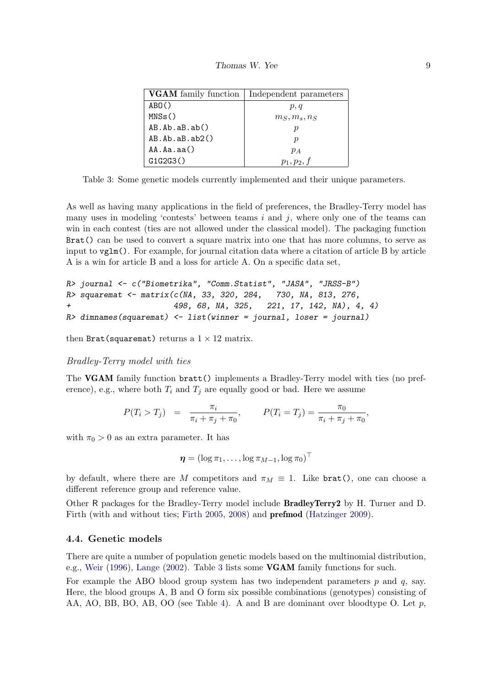| Thomas W. Yee |  |  |
|---------------|--|--|
|               |  |  |

| <b>VGAM</b> family function | Independent parameters |
|-----------------------------|------------------------|
| ABO()                       | p, q                   |
| MNSs()                      | $m_S, m_s, n_S$        |
| AB.Ab.ab.ab()               | р                      |
| AB.Ab.ab.ab2()              | р                      |
| AA.Aa.aa()                  | $p_A$                  |
| G1G2G3()                    | $p_1, p_2, f$          |

<span id="page-8-0"></span>Table 3: Some genetic models currently implemented and their unique parameters.

As well as having many applications in the field of preferences, the Bradley-Terry model has many uses in modeling 'contests' between teams  $i$  and  $j$ , where only one of the teams can win in each contest (ties are not allowed under the classical model). The packaging function Brat() can be used to convert a square matrix into one that has more columns, to serve as input to vglm(). For example, for journal citation data where a citation of article B by article A is a win for article B and a loss for article A. On a specific data set,

```
R> journal <- c("Biometrika", "Comm.Statist", "JASA", "JRSS-B")
R> squaremat <- matrix(c(NA, 33, 320, 284, 730, NA, 813, 276,
                       + 498, 68, NA, 325, 221, 17, 142, NA), 4, 4)
R> dimnames(squaremat) \leq list(winner = journal, loser = journal)
```
then Brat(squaremat) returns a  $1 \times 12$  matrix.

### Bradley-Terry model with ties

The VGAM family function bratt() implements a Bradley-Terry model with ties (no preference), e.g., where both  $T_i$  and  $T_j$  are equally good or bad. Here we assume

$$
P(T_i > T_j) = \frac{\pi_i}{\pi_i + \pi_j + \pi_0}, \qquad P(T_i = T_j) = \frac{\pi_0}{\pi_i + \pi_j + \pi_0},
$$

with  $\pi_0 > 0$  as an extra parameter. It has

$$
\boldsymbol{\eta} = (\log \pi_1, \dots, \log \pi_{M-1}, \log \pi_0)^\top
$$

by default, where there are M competitors and  $\pi_M \equiv 1$ . Like brat(), one can choose a different reference group and reference value.

Other R packages for the Bradley-Terry model include BradleyTerry2 by H. Turner and D. Firth (with and without ties; [Firth](#page-26-12) [2005,](#page-26-12) [2008\)](#page-26-13) and prefmod [\(Hatzinger](#page-26-14) [2009\)](#page-26-14).

#### 4.4. Genetic models

There are quite a number of population genetic models based on the multinomial distribution, e.g., [Weir](#page-28-14) [\(1996\)](#page-28-14), [Lange](#page-27-11) [\(2002\)](#page-27-11). Table [3](#page-8-0) lists some VGAM family functions for such.

For example the ABO blood group system has two independent parameters  $p$  and  $q$ , say. Here, the blood groups A, B and O form six possible combinations (genotypes) consisting of AA, AO, BB, BO, AB, OO (see Table [4\)](#page-9-1). A and B are dominant over bloodtype O. Let  $p$ ,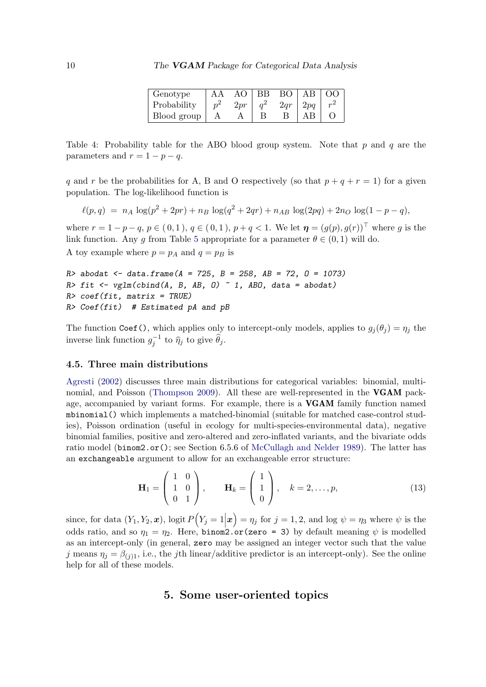| Genotype    | AΟ  | ВB | BO    | AB. |                |
|-------------|-----|----|-------|-----|----------------|
| Probability | 2pr |    | 2 a r | 2pa | m <sup>4</sup> |
| Blood group |     |    |       |     |                |

<span id="page-9-1"></span>Table 4: Probability table for the ABO blood group system. Note that  $p$  and  $q$  are the parameters and  $r = 1 - p - q$ .

q and r be the probabilities for A, B and O respectively (so that  $p + q + r = 1$ ) for a given population. The log-likelihood function is

$$
\ell(p,q) = n_A \log(p^2 + 2pr) + n_B \log(q^2 + 2qr) + n_{AB} \log(2pq) + 2n_O \log(1 - p - q),
$$

where  $r = 1 - p - q$ ,  $p \in (0, 1)$ ,  $q \in (0, 1)$ ,  $p + q < 1$ . We let  $\eta = (q(p), q(r))^{\top}$  where q is the link function. Any q from Table [5](#page-11-0) appropriate for a parameter  $\theta \in (0,1)$  will do.

A toy example where  $p = p_A$  and  $q = p_B$  is

```
R abodat <- data.frame(A = 725, B = 258, AB = 72, D = 1073)
R > fit \leq vglm(cbind(A, B, AB, O) \degree 1, ABO, data = abodat)
R> coef(fit, matrix = TRUE)
R> Coef(fit) # Estimated pA and pB
```
The function Coef(), which applies only to intercept-only models, applies to  $g_j(\theta_j) = \eta_j$  the inverse link function  $g_j^{-1}$  to  $\hat{\eta}_j$  to give  $\hat{\theta}_j$ .

### 4.5. Three main distributions

[Agresti](#page-25-2) [\(2002\)](#page-25-2) discusses three main distributions for categorical variables: binomial, multinomial, and Poisson [\(Thompson](#page-28-9) [2009\)](#page-28-9). All these are well-represented in the VGAM package, accompanied by variant forms. For example, there is a VGAM family function named mbinomial() which implements a matched-binomial (suitable for matched case-control studies), Poisson ordination (useful in ecology for multi-species-environmental data), negative binomial families, positive and zero-altered and zero-inflated variants, and the bivariate odds ratio model (binom2.or(); see Section 6.5.6 of [McCullagh and Nelder](#page-27-5) [1989\)](#page-27-5). The latter has an exchangeable argument to allow for an exchangeable error structure:

$$
\mathbf{H}_1 = \begin{pmatrix} 1 & 0 \\ 1 & 0 \\ 0 & 1 \end{pmatrix}, \qquad \mathbf{H}_k = \begin{pmatrix} 1 \\ 1 \\ 0 \end{pmatrix}, \quad k = 2, \dots, p,
$$
 (13)

<span id="page-9-0"></span>since, for data  $(Y_1, Y_2, \mathbf{x})$ , logit  $P(Y_j = 1 | \mathbf{x}) = \eta_j$  for  $j = 1, 2$ , and log  $\psi = \eta_3$  where  $\psi$  is the odds ratio, and so  $\eta_1 = \eta_2$ . Here, binom2. or (zero = 3) by default meaning  $\psi$  is modelled as an intercept-only (in general, zero may be assigned an integer vector such that the value j means  $\eta_j = \beta_{(j)1}$ , i.e., the jth linear/additive predictor is an intercept-only). See the online help for all of these models.

# 5. Some user-oriented topics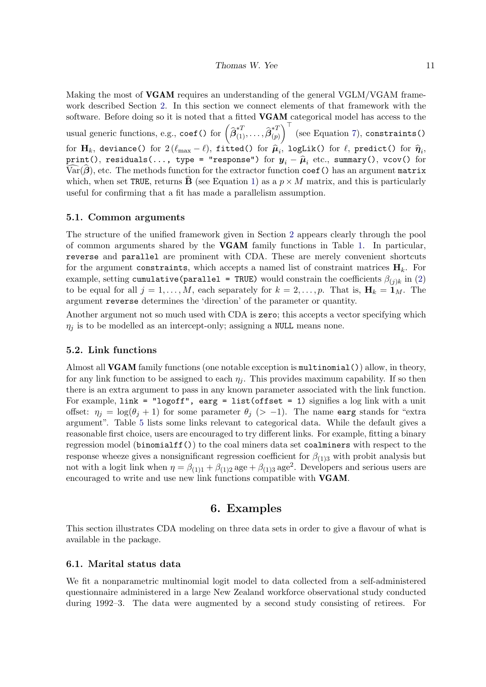Making the most of **VGAM** requires an understanding of the general VGLM/VGAM framework described Section [2.](#page-2-0) In this section we connect elements of that framework with the software. Before doing so it is noted that a fitted VGAM categorical model has access to the

usual generic functions, e.g.,  $\texttt{coef}$  () for  $\left(\widehat{\boldsymbol{\beta}}_{(1)}^{*T}, \ldots, \widehat{\boldsymbol{\beta}}_{(p)}^{*T}\right)$ (p)  $\big)$ <sup>T</sup> (see Equation [7\)](#page-4-1), constraints() for  $H_k$ , deviance() for  $2(\ell_{\max} - \ell)$ , fitted() for  $\hat{\mu}_i$ , logLik() for  $\ell$ , predict() for  $\hat{\eta}_i$ , print(), residuals(..., type = "response") for  $y_i - \hat{\mu}_i$  etc., summary(), vcov() for  $Var(\beta)$ , etc. The methods function for the extractor function coef() has an argument matrix which, when set TRUE, returns **B** (see Equation [1\)](#page-2-2) as a  $p \times M$  matrix, and this is particularly useful for confirming that a fit has made a parallelism assumption.

### 5.1. Common arguments

The structure of the unified framework given in Section [2](#page-2-0) appears clearly through the pool of common arguments shared by the VGAM family functions in Table [1.](#page-1-0) In particular, reverse and parallel are prominent with CDA. These are merely convenient shortcuts for the argument constraints, which accepts a named list of constraint matrices  $\mathbf{H}_k$ . For example, setting cumulative(parallel = TRUE) would constrain the coefficients  $\beta_{(j)k}$  in [\(2\)](#page-2-1) to be equal for all  $j = 1, \ldots, M$ , each separately for  $k = 2, \ldots, p$ . That is,  $H_k = 1_M$ . The argument reverse determines the 'direction' of the parameter or quantity.

Another argument not so much used with CDA is zero; this accepts a vector specifying which  $\eta_i$  is to be modelled as an intercept-only; assigning a NULL means none.

## <span id="page-10-1"></span>5.2. Link functions

Almost all VGAM family functions (one notable exception is multinomial()) allow, in theory, for any link function to be assigned to each  $\eta_i$ . This provides maximum capability. If so then there is an extra argument to pass in any known parameter associated with the link function. For example,  $link = "logoff", earg = list(offset = 1)$  signifies a log link with a unit offset:  $\eta_j = \log(\theta_j + 1)$  for some parameter  $\theta_j$  (> -1). The name earg stands for "extra argument". Table [5](#page-11-0) lists some links relevant to categorical data. While the default gives a reasonable first choice, users are encouraged to try different links. For example, fitting a binary regression model (binomialff()) to the coal miners data set coalminers with respect to the response wheeze gives a nonsignificant regression coefficient for  $\beta_{(1)3}$  with probit analysis but not with a logit link when  $\eta = \beta_{(1)1} + \beta_{(1)2}$  age  $+ \beta_{(1)3}$  age<sup>2</sup>. Developers and serious users are encouraged to write and use new link functions compatible with VGAM.

# 6. Examples

<span id="page-10-0"></span>This section illustrates CDA modeling on three data sets in order to give a flavour of what is available in the package.

### 6.1. Marital status data

We fit a nonparametric multinomial logit model to data collected from a self-administered questionnaire administered in a large New Zealand workforce observational study conducted during 1992–3. The data were augmented by a second study consisting of retirees. For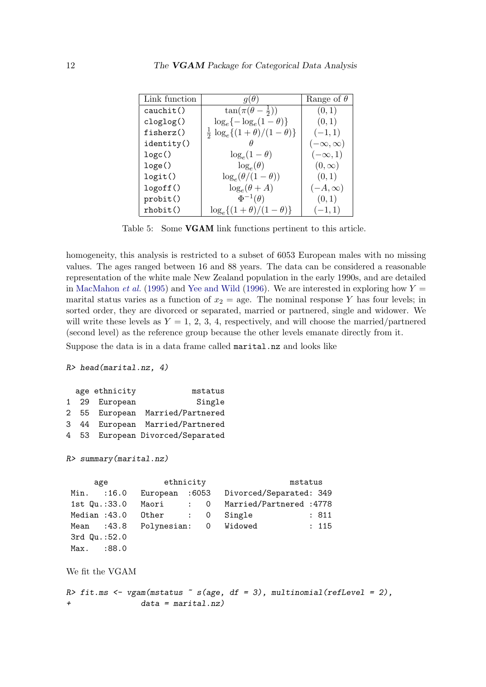| Link function | $q(\theta)$                                     | Range of $\theta$  |
|---------------|-------------------------------------------------|--------------------|
| cauchit()     | $\tan(\pi(\theta - \frac{1}{2}))$               | (0,1)              |
| cloglog()     | $\log_e \{-\log_e(1-\theta)\}\$                 | (0,1)              |
| fisherz()     | $\frac{1}{2} \log_e \{(1+\theta)/(1-\theta)\}\$ | $(-1,1)$           |
| identity()    |                                                 | $(-\infty,\infty)$ |
| logc()        | $\log_e(1-\theta)$                              | $(-\infty,1)$      |
| loge()        | $\log_e(\theta)$                                | $(0,\infty)$       |
| logit()       | $\log_e(\theta/(1-\theta))$                     | (0,1)              |
| logoff()      | $\log_e(\theta+A)$                              | $(-A,\infty)$      |
| probit()      | $\Phi^{-1}(\theta)$                             | (0,1)              |
| rho bit()     | $\log_e\{(1+\theta)/(1-\theta)\}\$              | $(-1,1)$           |

<span id="page-11-0"></span>Table 5: Some VGAM link functions pertinent to this article.

homogeneity, this analysis is restricted to a subset of 6053 European males with no missing values. The ages ranged between 16 and 88 years. The data can be considered a reasonable representation of the white male New Zealand population in the early 1990s, and are detailed in [MacMahon](#page-27-12) *et al.* [\(1995\)](#page-27-12) and [Yee and Wild](#page-29-0) [\(1996\)](#page-29-0). We are interested in exploring how  $Y =$ marital status varies as a function of  $x_2$  = age. The nominal response Y has four levels; in sorted order, they are divorced or separated, married or partnered, single and widower. We will write these levels as  $Y = 1, 2, 3, 4$ , respectively, and will choose the married/partnered (second level) as the reference group because the other levels emanate directly from it. Suppose the data is in a data frame called marital.nz and looks like

```
R> head(marital.nz, 4)
```

|  | age ethnicity | mstatus                          |
|--|---------------|----------------------------------|
|  | 1 29 European | Single                           |
|  |               | 2 55 European Married/Partnered  |
|  |               | 3 44 European Married/Partnered  |
|  |               | 4 53 European Divorced/Separated |
|  |               |                                  |

R> summary(marital.nz)

|              | age             | ethnicity                        |  | mstatus                                 |                                                                        |
|--------------|-----------------|----------------------------------|--|-----------------------------------------|------------------------------------------------------------------------|
|              | Min. : 16.0     |                                  |  | European : 6053 Divorced/Separated: 349 |                                                                        |
|              | 1st Qu.:33.0    | Maori : O                        |  | Married/Partnered : 4778                |                                                                        |
|              | Median :43.0    | $Other \t\t 0$                   |  | Single                                  | : 811                                                                  |
|              |                 | Mean :43.8 Polynesian: 0 Widowed |  |                                         | : 115                                                                  |
| 3rd Qu.:52.0 |                 |                                  |  |                                         |                                                                        |
| Max. :88.0   |                 |                                  |  |                                         |                                                                        |
|              | We fit the VGAM |                                  |  |                                         |                                                                        |
| $+$          |                 | $data = marital.nz)$             |  |                                         | R> fit.ms <- vgam(mstatus ~ s(age, df = 3), multinomial(refLevel = 2), |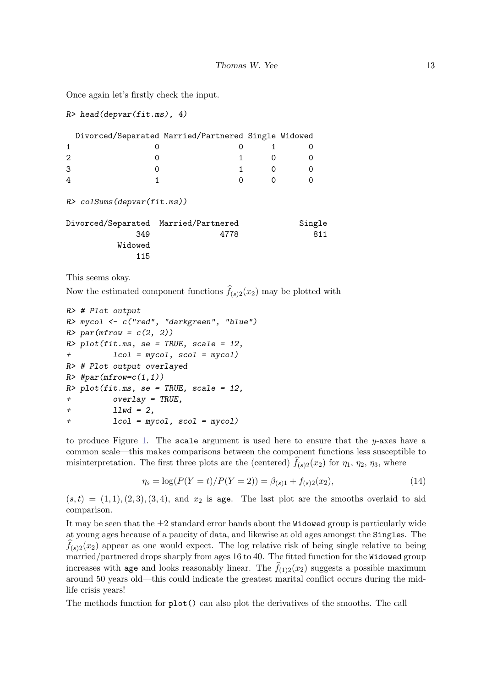```
Once again let's firstly check the input.
```

```
Divorced/Separated Married/Partnered Single Widowed
1 0 0 0 1 0
2 0 1 0 0
3 0 1 0 0
4 1 0 0 0
```

```
R> colSums(depvar(fit.ms))
```
 $R$ > head(depvar(fit.ms), 4)

| Divorced/Separated Married/Partnered |      | Single |
|--------------------------------------|------|--------|
| 349.                                 | 4778 | 811    |
| Widowed                              |      |        |
| 115                                  |      |        |

This seems okay.

Now the estimated component functions  $\widehat{f}_{(s)2}(x_2)$  may be plotted with

```
R> # Plot output
R> mycol <- c("red", "darkgreen", "blue")
R> par(mfrow = c(2, 2))
R> plot(fit.ms, se = TRUE, scale = 12,
+ lcol = mycol, scol = mycol)
R> # Plot output overlayed
R> #par(mfrow=c(1,1))
R> plot(fit.ms, se = TRUE, scale = 12,
+ overlay = TRUE,
+ 11wd = 2,
+ lcol = mycol, scol = mycol)
```
to produce Figure [1.](#page-13-0) The scale argument is used here to ensure that the  $y$ -axes have a common scale—this makes comparisons between the component functions less susceptible to misinterpretation. The first three plots are the (centered)  $f_{(s)2}(x_2)$  for  $\eta_1$ ,  $\eta_2$ ,  $\eta_3$ , where

<span id="page-12-0"></span>
$$
\eta_s = \log(P(Y = t)/P(Y = 2)) = \beta_{(s)1} + f_{(s)2}(x_2),\tag{14}
$$

 $(s, t) = (1, 1), (2, 3), (3, 4),$  and  $x<sub>2</sub>$  is age. The last plot are the smooths overlaid to aid comparison.

It may be seen that the  $\pm 2$  standard error bands about the Widowed group is particularly wide at young ages because of a paucity of data, and likewise at old ages amongst the Singles. The  $f(s)2(x_2)$  appear as one would expect. The log relative risk of being single relative to being married/partnered drops sharply from ages 16 to 40. The fitted function for the Widowed group increases with age and looks reasonably linear. The  $f_{(1)2}(x_2)$  suggests a possible maximum around 50 years old—this could indicate the greatest marital conflict occurs during the midlife crisis years!

The methods function for plot() can also plot the derivatives of the smooths. The call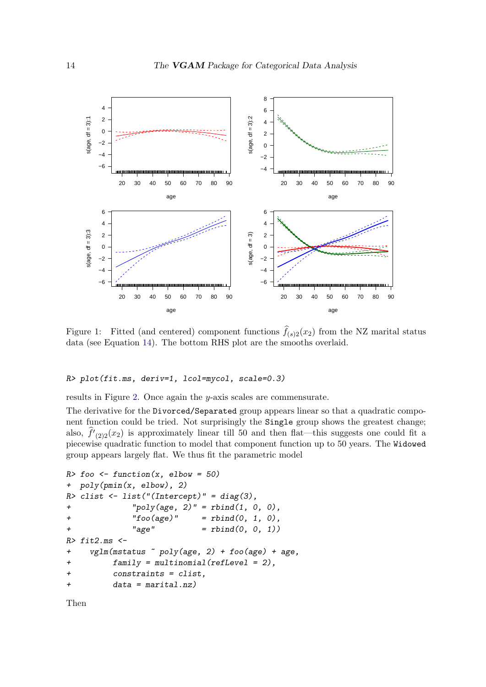

<span id="page-13-0"></span>Figure 1: Fitted (and centered) component functions  $\hat{f}_{(s)2}(x_2)$  from the NZ marital status data (see Equation [14\)](#page-12-0). The bottom RHS plot are the smooths overlaid.

### R> plot(fit.ms, deriv=1, lcol=mycol, scale=0.3)

results in Figure [2.](#page-14-0) Once again the y-axis scales are commensurate.

The derivative for the Divorced/Separated group appears linear so that a quadratic component function could be tried. Not surprisingly the Single group shows the greatest change; also,  $\hat{f}'_{(2)2}(x_2)$  is approximately linear till 50 and then flat—this suggests one could fit a piecewise quadratic function to model that component function up to 50 years. The Widowed group appears largely flat. We thus fit the parametric model

```
R> foo <- function(x, elbow = 50)
+ poly(pmin(x, elbow), 2)
R> clist <- list("(Intercept)" = diag(3),
            "poly(age, 2)" = rbind(1, 0, 0),+ "foo(age)" = rbind(0, 1, 0),
+ "age" = rbind(0, 0, 1))
R> fit2.ms <-
+ vglm(mstatus ~ poly(age, 2) + foo(age) + age,
+ family = multinomial(refLevel = 2),
+ constraints = clist,
+ data = marital.nz)
```
Then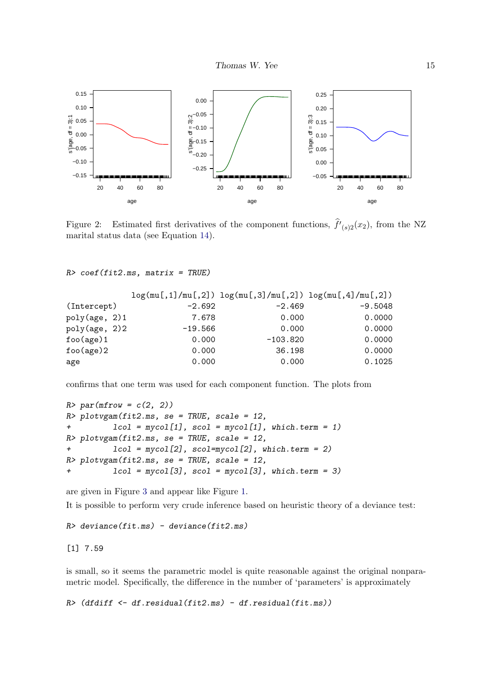

<span id="page-14-0"></span>Figure 2: Estimated first derivatives of the component functions,  $\hat{f}'_{(s)2}(x_2)$ , from the NZ marital status data (see Equation [14\)](#page-12-0).

 $R$ > coef(fit2.ms, matrix = TRUE)

|               |           | $log(mu[, 1]/mu[, 2]) log(mu[, 3]/mu[, 2]) log(mu[, 4]/mu[, 2])$ |           |
|---------------|-----------|------------------------------------------------------------------|-----------|
| (Intercept)   | $-2.692$  | $-2.469$                                                         | $-9.5048$ |
| poly(age, 2)1 | 7.678     | 0.000                                                            | 0.0000    |
| poly(age, 2)2 | $-19.566$ | 0.000                                                            | 0.0000    |
| foo(age)1     | 0.000     | $-103.820$                                                       | 0.0000    |
| foo(age)2     | 0.000     | 36.198                                                           | 0.0000    |
| age           | 0.000     | 0.000                                                            | 0.1025    |

confirms that one term was used for each component function. The plots from

```
R> par(mfrow = c(2, 2))
R> plotvgam(fit2.ms, se = TRUE, scale = 12,
+ lcol = mycol[1], scol = mycol[1], which.term = 1)
R> plotvgam(fit2.ms, se = TRUE, scale = 12,
+ lcol = mycol[2], scol=mycol[2], which.term = 2)
R> plotvgam(fit2.ms, se = TRUE, scale = 12,
+ lcol = mycol[3], scol = mycol[3], which.term = 3)
```
are given in Figure [3](#page-15-0) and appear like Figure [1.](#page-13-0)

It is possible to perform very crude inference based on heuristic theory of a deviance test:

```
R> deviance(fit.ms) - deviance(fit2.ms)
```
### [1] 7.59

is small, so it seems the parametric model is quite reasonable against the original nonparametric model. Specifically, the difference in the number of 'parameters' is approximately

```
R (dfdiff \leq df.residual(fit2.ms) - df.residual(fit.ms))
```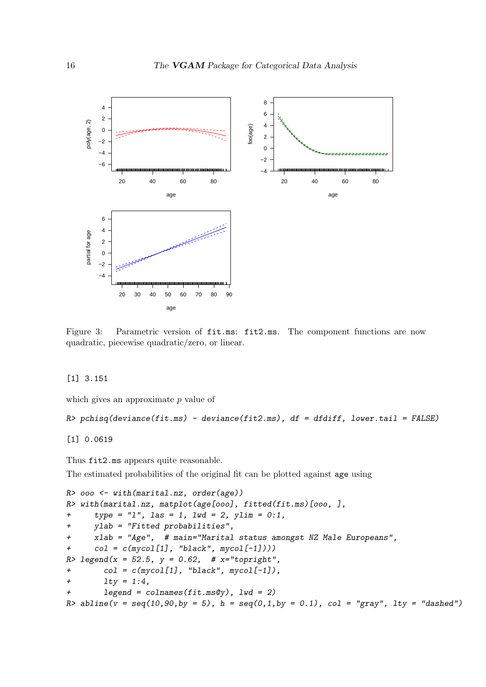

<span id="page-15-0"></span>Figure 3: Parametric version of fit.ms: fit2.ms. The component functions are now quadratic, piecewise quadratic/zero, or linear.

#### [1] 3.151

which gives an approximate  $p$  value of

```
R> pchisq(deviance(fit.ms) - deviance(fit2.ms), df = dfdiff, lower.tail = FALSE)
```
[1] 0.0619

Thus fit2.ms appears quite reasonable.

The estimated probabilities of the original fit can be plotted against age using

```
R> ooo <- with(marital.nz, order(age))
R> with(marital.nz, matplot(age[ooo], fitted(fit.ms)[ooo, ],
      type = "1", las = 1, lwd = 2, ylim = 0:1,+ ylab = "Fitted probabilities",
+ xlab = "Age", # main="Marital status amongst NZ Male Europeans",
+ col = c(mycol[1], "black", mycol[-1]))R > \text{legend}(x = 52.5, y = 0.62, # x='topright",+ col = c(mycol[1], "black", mycol[-1]),
+ lty = 1:4,
        legend = colnames(fit.ms@y), 1wd = 2)R> abline(v = \text{seq}(10, 90, by = 5), h = \text{seq}(0, 1, by = 0.1), col = "gray", 1ty = "dashed")
```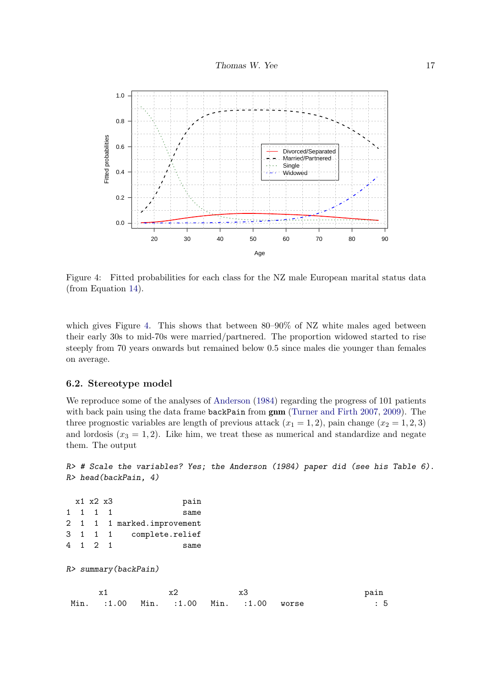

<span id="page-16-0"></span>Figure 4: Fitted probabilities for each class for the NZ male European marital status data (from Equation [14\)](#page-12-0).

which gives Figure [4.](#page-16-0) This shows that between  $80-90\%$  of NZ white males aged between their early 30s to mid-70s were married/partnered. The proportion widowed started to rise steeply from 70 years onwards but remained below 0.5 since males die younger than females on average.

### 6.2. Stereotype model

We reproduce some of the analyses of [Anderson](#page-25-3) [\(1984\)](#page-25-3) regarding the progress of 101 patients with back pain using the data frame backPain from gnm [\(Turner and Firth](#page-28-15) [2007,](#page-28-15) [2009\)](#page-28-16). The three prognostic variables are length of previous attack  $(x_1 = 1, 2)$ , pain change  $(x_2 = 1, 2, 3)$ and lordosis  $(x_3 = 1, 2)$ . Like him, we treat these as numerical and standardize and negate them. The output

R> # Scale the variables? Yes; the Anderson (1984) paper did (see his Table 6). R> head(backPain, 4)

| pain                       | x1 x2 x3       |       |  |
|----------------------------|----------------|-------|--|
| same                       |                | 1 1 1 |  |
| 2 1 1 1 marked.improvement |                |       |  |
| complete.relief            | 3 1 1 1        |       |  |
| same                       | $\overline{2}$ | 41    |  |

R> summary(backPain)

|                                        |  |  | pain |
|----------------------------------------|--|--|------|
| Min. :1.00 Min. :1.00 Min. :1.00 worse |  |  | : 5  |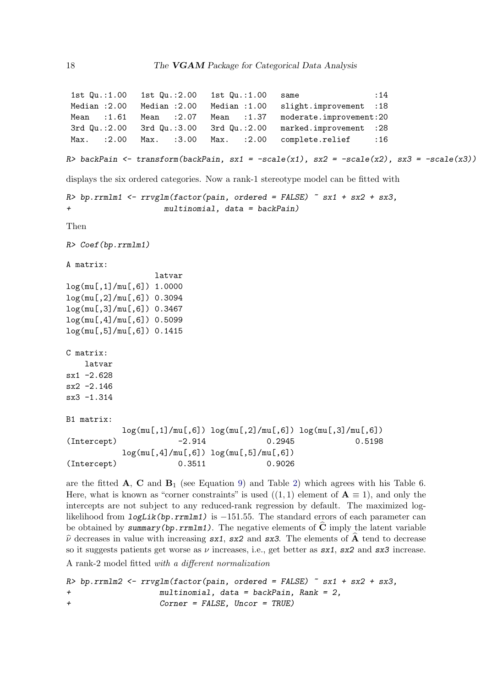```
1st Qu.:1.00 1st Qu.:2.00 1st Qu.:1.00 same :14
Median :2.00 Median :2.00 Median :1.00 slight.improvement :18
Mean :1.61 Mean :2.07 Mean :1.37 moderate.improvement:20
3rd Qu.:2.00 3rd Qu.:3.00 3rd Qu.:2.00 marked.improvement :28
Max. :2.00 Max. :3.00 Max. :2.00 complete.relief :16
R> backPain <- transform(backPain, sx1 = -scale(x1), sx2 = -scale(x2), sx3 = -scale(x3))
displays the six ordered categories. Now a rank-1 stereotype model can be fitted with
R> bp.rrmlm1 <- rrvglm(factor(pain, ordered = FALSE) \tilde{ } sx1 + sx2 + sx3,
+ multinomial, data = backPain)
Then
R> Coef(bp.rrmlm1)
A matrix:
                 latvar
log(mu[,1]/mu[,6]) 1.0000
log(mu[,2]/mu[,6]) 0.3094
log(mu[,3]/mu[,6]) 0.3467
log(mu[,4]/mu[,6]) 0.5099
log(mu[,5]/mu[,6]) 0.1415
C matrix:
   latvar
sx1 -2.628
sx2 -2.146sx3 -1.314
B1 matrix:
          log(mu[,1]/mu[,6]) log(mu[,2]/mu[,6]) log(mu[,3]/mu[,6])
(Intercept) -2.914 0.2945 0.5198
          log(mu[, 4]/mu[, 6]) log(mu[, 5]/mu[, 6])(Intercept) 0.3511 0.9026
```

```
are the fitted A, C and B_19)2) which agrees with his Table 6.
Here, what is known as "corner constraints" is used ((1,1) element of \mathbf{A} \equiv 1), and only the
intercepts are not subject to any reduced-rank regression by default. The maximized log-
likelihood from logLikley.runlm1) is -151.55. The standard errors of each parameter can
be obtained by summary(bp.rrmlm1). The negative elements of \overline{C} imply the latent variable
\hat{\nu} decreases in value with increasing sx1, sx2 and sx3. The elements of \hat{A} tend to decrease
so it suggests patients get worse as \nu increases, i.e., get better as sx1, sx2 and sx3 increase.
A rank-2 model fitted with a different normalization
```

```
R> bp.rrmlm2 <- rrvglm(factor(pain, ordered = FALSE) \tilde{ } sx1 + sx2 + sx3,
+ multinomial, data = backPain, Rank = 2,
+ Corner = FALSE, Uncor = TRUE)
```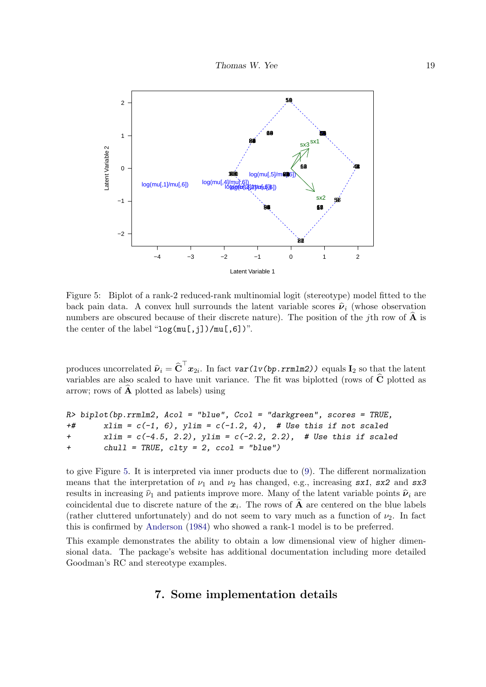

<span id="page-18-1"></span>Figure 5: Biplot of a rank-2 reduced-rank multinomial logit (stereotype) model fitted to the back pain data. A convex hull surrounds the latent variable scores  $\hat{\nu}_i$  (whose observation numbers are obscured because of their discrete nature). The position of the jth row of  $\overline{A}$  is the center of the label " $log(mu[,j])/mu[,6])$ ".

produces uncorrelated  $\hat{\boldsymbol{\nu}}_i = \hat{\mathbf{C}}^\top \boldsymbol{x}_{2i}$ . In fact  $\text{var}(\mathbf{1} \mathbf{v}(\mathit{bp}, \mathit{rrmlm2}))$  equals  $\mathbf{I}_2$  so that the latent variables are also scaled to have unit variance. The fit was biplotted (rows of  $C$  plotted as arrow; rows of  $\ddot{A}$  plotted as labels) using

```
R> biplot(bp.rrmlm2, Acol = "blue", Ccol = "darkgreen", scores = TRUE,
+# xlim = c(-1, 6), ylim = c(-1.2, 4), # Use this if not scaled
+ x \lim = c(-4.5, 2.2), y \lim = c(-2.2, 2.2), \lim = c+ chull = TRUE, clty = 2, ccol = "blue")
```
to give Figure [5.](#page-18-1) It is interpreted via inner products due to [\(9\)](#page-6-1). The different normalization means that the interpretation of  $\nu_1$  and  $\nu_2$  has changed, e.g., increasing sx1, sx2 and sx3 results in increasing  $\hat{\nu}_1$  and patients improve more. Many of the latent variable points  $\hat{\nu}_i$  are coincidental due to discrete nature of the  $x_i$ . The rows of **A** are centered on the blue labels (rather cluttered unfortunately) and do not seem to vary much as a function of  $\nu_2$ . In fact this is confirmed by [Anderson](#page-25-3) [\(1984\)](#page-25-3) who showed a rank-1 model is to be preferred.

<span id="page-18-0"></span>This example demonstrates the ability to obtain a low dimensional view of higher dimensional data. The package's website has additional documentation including more detailed Goodman's RC and stereotype examples.

# 7. Some implementation details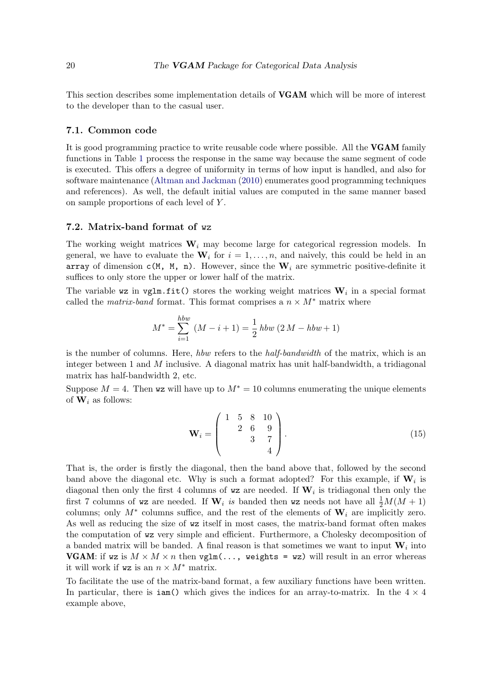This section describes some implementation details of VGAM which will be more of interest to the developer than to the casual user.

#### 7.1. Common code

It is good programming practice to write reusable code where possible. All the VGAM family functions in Table [1](#page-1-0) process the response in the same way because the same segment of code is executed. This offers a degree of uniformity in terms of how input is handled, and also for software maintenance [\(Altman and Jackman](#page-25-4) [\(2010\)](#page-25-4) enumerates good programming techniques and references). As well, the default initial values are computed in the same manner based on sample proportions of each level of Y .

### 7.2. Matrix-band format of wz

The working weight matrices  $W_i$  may become large for categorical regression models. In general, we have to evaluate the  $\mathbf{W}_i$  for  $i = 1, \ldots, n$ , and naively, this could be held in an array of dimension  $c(M, M, n)$ . However, since the  $W_i$  are symmetric positive-definite it suffices to only store the upper or lower half of the matrix.

The variable wz in vglm.fit() stores the working weight matrices  $W_i$  in a special format called the *matrix-band* format. This format comprises a  $n \times M^*$  matrix where

$$
M^* = \sum_{i=1}^{hbw} (M - i + 1) = \frac{1}{2} hbw (2M - hbw + 1)
$$

is the number of columns. Here, hbw refers to the *half-bandwidth* of the matrix, which is an integer between  $1$  and  $M$  inclusive. A diagonal matrix has unit half-bandwidth, a tridiagonal matrix has half-bandwidth 2, etc.

Suppose  $M = 4$ . Then wz will have up to  $M^* = 10$  columns enumerating the unique elements of  $W_i$  as follows:

<span id="page-19-0"></span>
$$
\mathbf{W}_{i} = \begin{pmatrix} 1 & 5 & 8 & 10 \\ 2 & 6 & 9 \\ 3 & 7 & 4 \end{pmatrix}.
$$
 (15)

That is, the order is firstly the diagonal, then the band above that, followed by the second band above the diagonal etc. Why is such a format adopted? For this example, if  $W_i$  is diagonal then only the first 4 columns of  $wz$  are needed. If  $W_i$  is tridiagonal then only the first 7 columns of wz are needed. If  $W_i$  is banded then wz needs not have all  $\frac{1}{2}M(M + 1)$ columns; only  $M^*$  columns suffice, and the rest of the elements of  $W_i$  are implicitly zero. As well as reducing the size of wz itself in most cases, the matrix-band format often makes the computation of wz very simple and efficient. Furthermore, a Cholesky decomposition of a banded matrix will be banded. A final reason is that sometimes we want to input  $\mathbf{W}_i$  into VGAM: if wz is  $M \times M \times n$  then vglm(..., weights = wz) will result in an error whereas it will work if  $wz$  is an  $n \times M^*$  matrix.

To facilitate the use of the matrix-band format, a few auxiliary functions have been written. In particular, there is  $\text{iam}(\cdot)$  which gives the indices for an array-to-matrix. In the  $4 \times 4$ example above,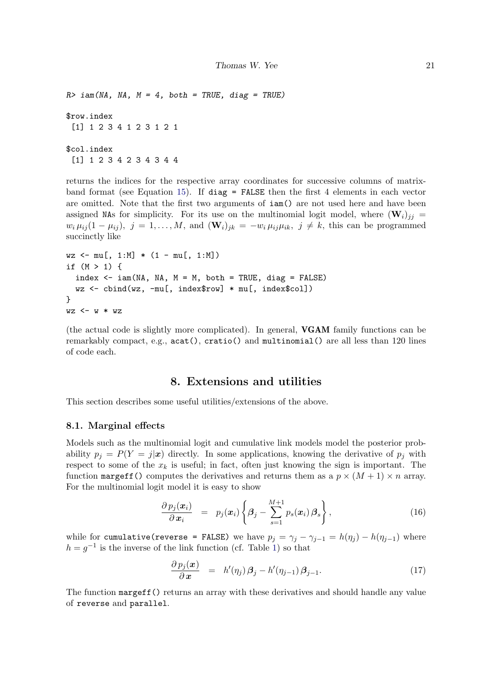$R > i$ am(NA, NA, M = 4, both = TRUE, diag = TRUE) \$row.index [1] 1 2 3 4 1 2 3 1 2 1 \$col.index [1] 1 2 3 4 2 3 4 3 4 4

returns the indices for the respective array coordinates for successive columns of matrix-band format (see Equation [15\)](#page-19-0). If  $diag = FALSE$  then the first 4 elements in each vector are omitted. Note that the first two arguments of iam() are not used here and have been assigned NAs for simplicity. For its use on the multinomial logit model, where  $(\mathbf{W}_i)_{ij} =$  $w_i \mu_{ij} (1 - \mu_{ij}), j = 1, \ldots, M$ , and  $(\mathbf{W}_i)_{jk} = -w_i \mu_{ij} \mu_{ik}, j \neq k$ , this can be programmed succinctly like

```
wz <- mu[, 1:M] * (1 - mu[, 1:M])
if (M > 1) {
  index \le iam(NA, NA, M = M, both = TRUE, diag = FALSE)
  wz \leftarrow \text{cbind}(wz, -mu[, \text{ index}\$row] * mu[, \text{ index}\$col])}
wz \leftarrow w * wz
```
(the actual code is slightly more complicated). In general, VGAM family functions can be remarkably compact, e.g., acat(), cratio() and multinomial() are all less than 120 lines of code each.

# 8. Extensions and utilities

<span id="page-20-0"></span>This section describes some useful utilities/extensions of the above.

#### 8.1. Marginal effects

Models such as the multinomial logit and cumulative link models model the posterior probability  $p_i = P(Y = j|x)$  directly. In some applications, knowing the derivative of  $p_i$  with respect to some of the  $x_k$  is useful; in fact, often just knowing the sign is important. The function margert () computes the derivatives and returns them as a  $p \times (M + 1) \times n$  array. For the multinomial logit model it is easy to show

$$
\frac{\partial p_j(\boldsymbol{x}_i)}{\partial \boldsymbol{x}_i} = p_j(\boldsymbol{x}_i) \left\{ \boldsymbol{\beta}_j - \sum_{s=1}^{M+1} p_s(\boldsymbol{x}_i) \boldsymbol{\beta}_s \right\},\tag{16}
$$

while for cumulative(reverse = FALSE) we have  $p_j = \gamma_j - \gamma_{j-1} = h(\eta_j) - h(\eta_{j-1})$  where  $h = g^{-1}$  is the inverse of the link function (cf. Table [1\)](#page-1-0) so that

$$
\frac{\partial p_j(\boldsymbol{x})}{\partial \boldsymbol{x}} = h'(\eta_j) \boldsymbol{\beta}_j - h'(\eta_{j-1}) \boldsymbol{\beta}_{j-1}.
$$
\n(17)

The function margeff() returns an array with these derivatives and should handle any value of reverse and parallel.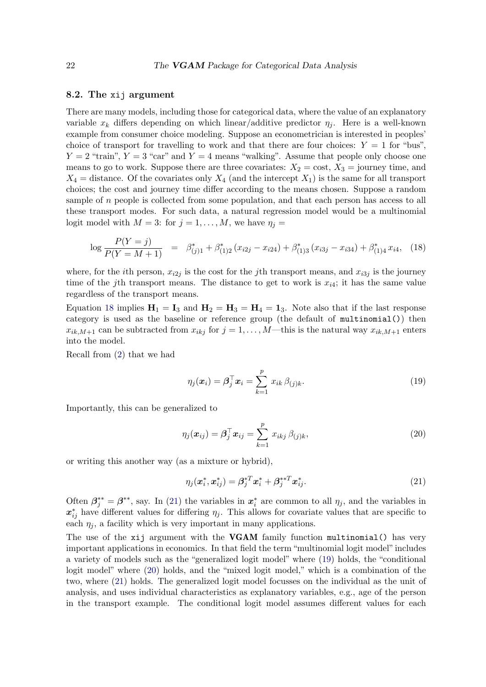#### 8.2. The xij argument

There are many models, including those for categorical data, where the value of an explanatory variable  $x_k$  differs depending on which linear/additive predictor  $\eta_i$ . Here is a well-known example from consumer choice modeling. Suppose an econometrician is interested in peoples' choice of transport for travelling to work and that there are four choices:  $Y = 1$  for "bus",  $Y = 2$  "train",  $Y = 3$  "car" and  $Y = 4$  means "walking". Assume that people only choose one means to go to work. Suppose there are three covariates:  $X_2 = \text{cost}, X_3 = \text{journey time},$  and  $X_4$  = distance. Of the covariates only  $X_4$  (and the intercept  $X_1$ ) is the same for all transport choices; the cost and journey time differ according to the means chosen. Suppose a random sample of n people is collected from some population, and that each person has access to all these transport modes. For such data, a natural regression model would be a multinomial logit model with  $M = 3$ : for  $j = 1, ..., M$ , we have  $\eta_j =$ 

<span id="page-21-0"></span>
$$
\log \frac{P(Y=j)}{P(Y=M+1)} = \beta_{(j)1}^* + \beta_{(1)2}^*(x_{i2j} - x_{i24}) + \beta_{(1)3}^*(x_{i3j} - x_{i34}) + \beta_{(1)4}^* x_{i4}, \quad (18)
$$

where, for the *i*th person,  $x_{i2j}$  is the cost for the *j*th transport means, and  $x_{i3j}$  is the journey time of the jth transport means. The distance to get to work is  $x_{i4}$ ; it has the same value regardless of the transport means.

Equation [18](#page-21-0) implies  $H_1 = I_3$  and  $H_2 = H_3 = H_4 = I_3$ . Note also that if the last response category is used as the baseline or reference group (the default of multinomial()) then  $x_{ik,M+1}$  can be subtracted from  $x_{ikj}$  for  $j = 1, ..., M$ —this is the natural way  $x_{ik,M+1}$  enters into the model.

Recall from [\(2\)](#page-2-1) that we had

<span id="page-21-2"></span>
$$
\eta_j(\boldsymbol{x}_i) = \boldsymbol{\beta}_j^\top \boldsymbol{x}_i = \sum_{k=1}^p x_{ik} \,\beta_{(j)k}.\tag{19}
$$

Importantly, this can be generalized to

<span id="page-21-3"></span>
$$
\eta_j(\boldsymbol{x}_{ij}) = \boldsymbol{\beta}_j^\top \boldsymbol{x}_{ij} = \sum_{k=1}^p x_{ikj} \,\beta_{(j)k},\tag{20}
$$

or writing this another way (as a mixture or hybrid),

<span id="page-21-1"></span>
$$
\eta_j(\boldsymbol{x}_i^*, \boldsymbol{x}_{ij}^*) = \beta_j^{*T} \boldsymbol{x}_i^* + \beta_j^{*T} \boldsymbol{x}_{ij}^*.
$$
\n(21)

Often  $\beta_j^{**} = \beta^{**}$ , say. In [\(21\)](#page-21-1) the variables in  $x_i^*$  are common to all  $\eta_j$ , and the variables in  $x_{ij}^*$  have different values for differing  $\eta_j$ . This allows for covariate values that are specific to each  $\eta_i$ , a facility which is very important in many applications.

The use of the xij argument with the **VGAM** family function multinomial() has very important applications in economics. In that field the term "multinomial logit model" includes a variety of models such as the "generalized logit model" where [\(19\)](#page-21-2) holds, the "conditional logit model" where [\(20\)](#page-21-3) holds, and the "mixed logit model," which is a combination of the two, where [\(21\)](#page-21-1) holds. The generalized logit model focusses on the individual as the unit of analysis, and uses individual characteristics as explanatory variables, e.g., age of the person in the transport example. The conditional logit model assumes different values for each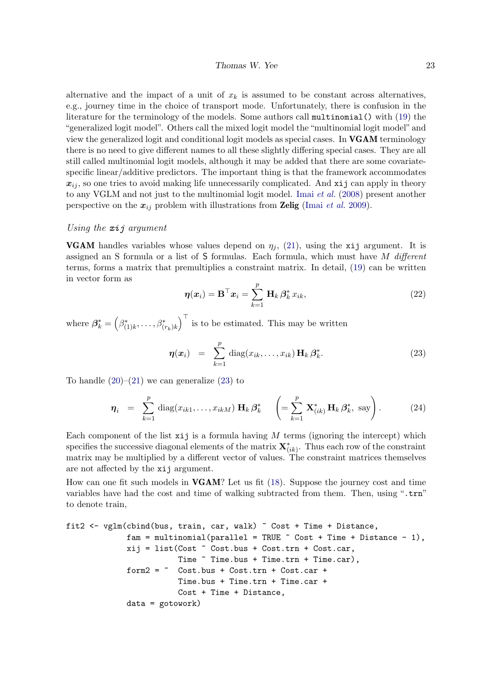#### Thomas W. Yee 23

alternative and the impact of a unit of  $x_k$  is assumed to be constant across alternatives, e.g., journey time in the choice of transport mode. Unfortunately, there is confusion in the literature for the terminology of the models. Some authors call multinomial() with [\(19\)](#page-21-2) the "generalized logit model". Others call the mixed logit model the "multinomial logit model" and view the generalized logit and conditional logit models as special cases. In VGAM terminology there is no need to give different names to all these slightly differing special cases. They are all still called multinomial logit models, although it may be added that there are some covariatespecific linear/additive predictors. The important thing is that the framework accommodates  $x_{ij}$ , so one tries to avoid making life unnecessarily complicated. And xij can apply in theory to any VGLM and not just to the multinomial logit model. Imai [et al.](#page-26-15) [\(2008\)](#page-26-15) present another perspective on the  $x_{ij}$  problem with illustrations from Zelig (Imai [et al.](#page-27-13) [2009\)](#page-27-13).

#### Using the  $xij$  argument

**VGAM** handles variables whose values depend on  $\eta_i$ , [\(21\)](#page-21-1), using the xij argument. It is assigned an S formula or a list of  $S$  formulas. Each formula, which must have  $M$  different terms, forms a matrix that premultiplies a constraint matrix. In detail, [\(19\)](#page-21-2) can be written in vector form as

$$
\boldsymbol{\eta}(\boldsymbol{x}_i) = \mathbf{B}^{\top} \boldsymbol{x}_i = \sum_{k=1}^p \mathbf{H}_k \boldsymbol{\beta}_k^* \, x_{ik},
$$
\n(22)

where  $\beta_k^* = \left(\beta_{(1)k}^*, \ldots, \beta_{(r_k)k}^*\right)$  $\int_{0}^{\top}$  is to be estimated. This may be written

<span id="page-22-0"></span>
$$
\boldsymbol{\eta}(\boldsymbol{x}_i) = \sum_{k=1}^p \text{diag}(x_{ik}, \dots, x_{ik}) \mathbf{H}_k \boldsymbol{\beta}_k^*.
$$
 (23)

To handle  $(20)$ – $(21)$  we can generalize  $(23)$  to

<span id="page-22-1"></span>
$$
\boldsymbol{\eta}_i = \sum_{k=1}^p \text{diag}(x_{ik1}, \dots, x_{ikM}) \mathbf{H}_k \boldsymbol{\beta}_k^* \quad \left( = \sum_{k=1}^p \mathbf{X}_{(ik)}^* \mathbf{H}_k \boldsymbol{\beta}_k^*, \text{ say} \right). \tag{24}
$$

Each component of the list  $xi$  is a formula having  $M$  terms (ignoring the intercept) which specifies the successive diagonal elements of the matrix  $\mathbf{X}^*_{(ik)}$ . Thus each row of the constraint matrix may be multiplied by a different vector of values. The constraint matrices themselves are not affected by the xij argument.

How can one fit such models in VGAM? Let us fit [\(18\)](#page-21-0). Suppose the journey cost and time variables have had the cost and time of walking subtracted from them. Then, using ".trn" to denote train,

```
fit2 <- vglm(cbind(bus, train, car, walk) ~ Cost + Time + Distance,
             fam = multinomial(parallel = TRUE " Cost + Time + Distance - 1),xij = list(Cost \text{ cost}.bus + Cost.trn + Costcar,Time \tilde{ } Time.bus + Time.trn + Time.car),
             form2 = \sim Cost.bus + Cost.trn + Cost.car +Time.bus + Time.trn + Time.car +
                         Cost + Time + Distance,
             data = gotowork)
```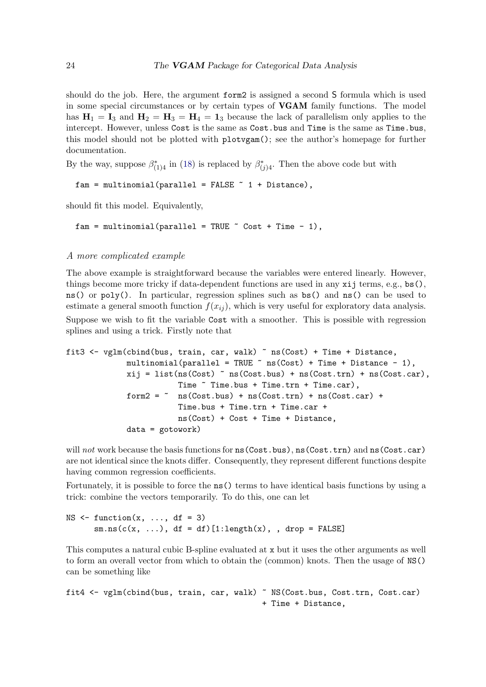should do the job. Here, the argument form2 is assigned a second S formula which is used in some special circumstances or by certain types of VGAM family functions. The model has  $H_1 = I_3$  and  $H_2 = H_3 = H_4 = I_3$  because the lack of parallelism only applies to the intercept. However, unless Cost is the same as Cost.bus and Time is the same as Time.bus, this model should not be plotted with plotvgam(); see the author's homepage for further documentation.

By the way, suppose  $\beta^*_{(1)4}$  in [\(18\)](#page-21-0) is replaced by  $\beta^*_{(j)4}$ . Then the above code but with

```
fam = multinomial(parallel = FALSE ~ 1 + Distance),
```
should fit this model. Equivalently,

```
fam = multinomial(parallel = TRUE ~ Cost + Time - 1),
```
A more complicated example

The above example is straightforward because the variables were entered linearly. However, things become more tricky if data-dependent functions are used in any xij terms, e.g., bs(), ns() or poly(). In particular, regression splines such as bs() and ns() can be used to estimate a general smooth function  $f(x_{ij})$ , which is very useful for exploratory data analysis. Suppose we wish to fit the variable Cost with a smoother. This is possible with regression splines and using a trick. Firstly note that

```
fit3 <- vglm(cbind(bus, train, car, walk) \tilde{ } ns(Cost) + Time + Distance,
             multinomial(parallel = TRUE \tilde{ } ns(Cost) + Time + Distance - 1),
             xij = list(ns(Cost) \sim ns(Cost.bus) + ns(Cost.trn) + ns(Cost.car),
                         Time ~ Time.bus + Time.trn + Time.car),
             form2 = * ns(Cost.bus) + ns(Cost.trn) + ns(Cost.car) +
                         Time.bus + Time.trn + Time.car +
                         ns(Cost) + Cost + Time + Distance,
             data = gotowork)
```
will not work because the basis functions for  $ns(Cost.bus)$ ,  $ns(Cost.trn)$  and  $ns(Cost-car)$ are not identical since the knots differ. Consequently, they represent different functions despite having common regression coefficients.

Fortunately, it is possible to force the  $ns()$  terms to have identical basis functions by using a trick: combine the vectors temporarily. To do this, one can let

 $NS \leftarrow function(x, ..., df = 3)$  $sm.ns(c(x, ...)$ , df = df)[1:length(x), , drop = FALSE]

This computes a natural cubic B-spline evaluated at x but it uses the other arguments as well to form an overall vector from which to obtain the (common) knots. Then the usage of NS() can be something like

fit4 <- vglm(cbind(bus, train, car, walk) ~ NS(Cost.bus, Cost.trn, Cost.car) + Time + Distance,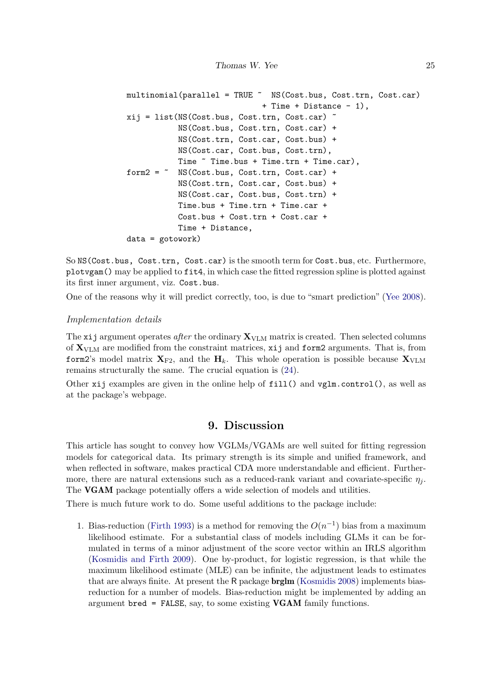```
multinomial(parallel = TRUE \tilde{ } NS(Cost.bus, Cost.trn, Cost.car)
                              + Time + Distance -1),
xij = list(NS(Cost.bus, Cost.trn, Cost.cur) ~
           NS(Cost.bus, Cost.trn, Cost.car) +
           NS(Cost.trn, Cost.car, Cost.bus) +
           NS(Cost.car, Cost.bus, Cost.trn),
           Time \tilde{ } Time.bus + Time.trn + Time.car),
form2 = \sim NS(Cost.bus, Cost.trn, Cost.car) +
           NS(Cost.trn, Cost.car, Cost.bus) +
           NS(Cost.car, Cost.bus, Cost.trn) +
           Time.bus + Time.trn + Time.car +
           Cost.bus + Cost.trn + Cost.car +
           Time + Distance,
data = gotowork)
```
So NS(Cost.bus, Cost.trn, Cost.car) is the smooth term for Cost.bus, etc. Furthermore, plotvgam() may be applied to fit4, in which case the fitted regression spline is plotted against its first inner argument, viz. Cost.bus.

One of the reasons why it will predict correctly, too, is due to "smart prediction" [\(Yee](#page-28-11) [2008\)](#page-28-11).

### Implementation details

The xij argument operates after the ordinary  $\mathbf{X}_{\text{VLM}}$  matrix is created. Then selected columns of  $X<sub>VLM</sub>$  are modified from the constraint matrices,  $x$ ij and form2 arguments. That is, from form2's model matrix  $X_{F2}$ , and the  $H_k$ . This whole operation is possible because  $X_{VLM}$ remains structurally the same. The crucial equation is [\(24\)](#page-22-1).

Other xij examples are given in the online help of  $fill()$  and  $vglm.control()$ , as well as at the package's webpage.

# 9. Discussion

This article has sought to convey how VGLMs/VGAMs are well suited for fitting regression models for categorical data. Its primary strength is its simple and unified framework, and when reflected in software, makes practical CDA more understandable and efficient. Furthermore, there are natural extensions such as a reduced-rank variant and covariate-specific  $\eta_i$ . The VGAM package potentially offers a wide selection of models and utilities.

There is much future work to do. Some useful additions to the package include:

1. Bias-reduction [\(Firth](#page-26-16) [1993\)](#page-26-16) is a method for removing the  $O(n^{-1})$  bias from a maximum likelihood estimate. For a substantial class of models including GLMs it can be formulated in terms of a minor adjustment of the score vector within an IRLS algorithm [\(Kosmidis and Firth](#page-27-14) [2009\)](#page-27-14). One by-product, for logistic regression, is that while the maximum likelihood estimate (MLE) can be infinite, the adjustment leads to estimates that are always finite. At present the R package brglm [\(Kosmidis](#page-27-15) [2008\)](#page-27-15) implements biasreduction for a number of models. Bias-reduction might be implemented by adding an argument bred = FALSE, say, to some existing  $VGAM$  family functions.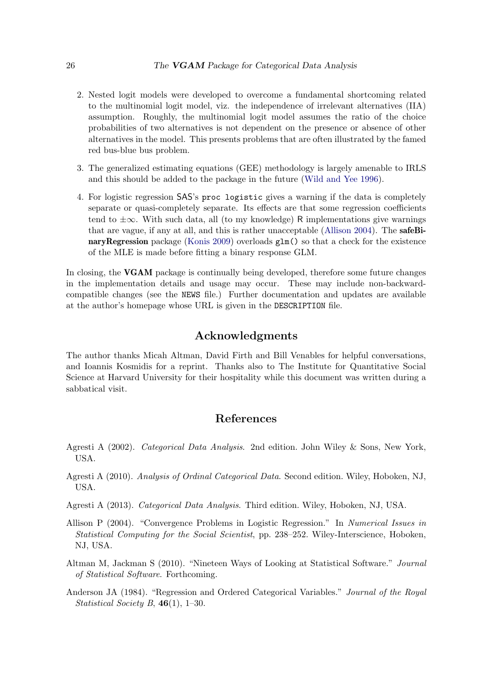- 2. Nested logit models were developed to overcome a fundamental shortcoming related to the multinomial logit model, viz. the independence of irrelevant alternatives (IIA) assumption. Roughly, the multinomial logit model assumes the ratio of the choice probabilities of two alternatives is not dependent on the presence or absence of other alternatives in the model. This presents problems that are often illustrated by the famed red bus-blue bus problem.
- 3. The generalized estimating equations (GEE) methodology is largely amenable to IRLS and this should be added to the package in the future [\(Wild and Yee](#page-28-17) [1996\)](#page-28-17).
- 4. For logistic regression SAS's proc logistic gives a warning if the data is completely separate or quasi-completely separate. Its effects are that some regression coefficients tend to  $\pm\infty$ . With such data, all (to my knowledge) R implementations give warnings that are vague, if any at all, and this is rather unacceptable [\(Allison](#page-25-5) [2004\)](#page-25-5). The safeBi-naryRegression package [\(Konis](#page-27-16) [2009\)](#page-27-16) overloads glm() so that a check for the existence of the MLE is made before fitting a binary response GLM.

In closing, the VGAM package is continually being developed, therefore some future changes in the implementation details and usage may occur. These may include non-backwardcompatible changes (see the NEWS file.) Further documentation and updates are available at the author's homepage whose URL is given in the DESCRIPTION file.

# Acknowledgments

The author thanks Micah Altman, David Firth and Bill Venables for helpful conversations, and Ioannis Kosmidis for a reprint. Thanks also to The Institute for Quantitative Social Science at Harvard University for their hospitality while this document was written during a sabbatical visit.

# References

- <span id="page-25-2"></span>Agresti A (2002). Categorical Data Analysis. 2nd edition. John Wiley & Sons, New York, USA.
- <span id="page-25-0"></span>Agresti A (2010). Analysis of Ordinal Categorical Data. Second edition. Wiley, Hoboken, NJ, USA.
- <span id="page-25-1"></span>Agresti A (2013). Categorical Data Analysis. Third edition. Wiley, Hoboken, NJ, USA.
- <span id="page-25-5"></span>Allison P (2004). "Convergence Problems in Logistic Regression." In Numerical Issues in Statistical Computing for the Social Scientist, pp. 238–252. Wiley-Interscience, Hoboken, NJ, USA.
- <span id="page-25-4"></span>Altman M, Jackman S (2010). "Nineteen Ways of Looking at Statistical Software." Journal of Statistical Software. Forthcoming.
- <span id="page-25-3"></span>Anderson JA (1984). "Regression and Ordered Categorical Variables." Journal of the Royal Statistical Society B, 46(1), 1–30.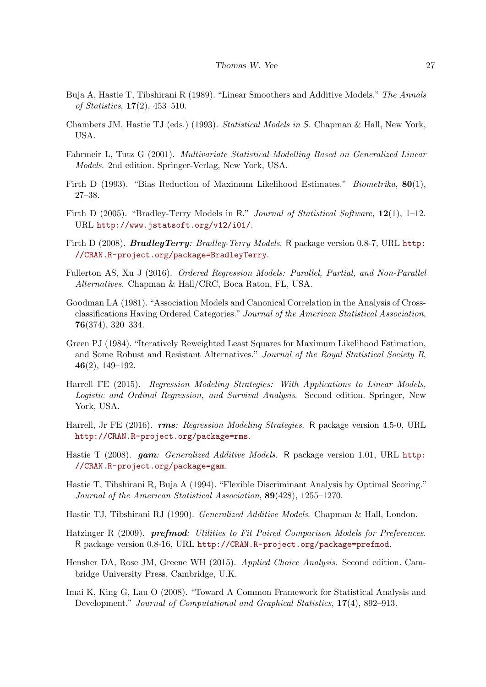- <span id="page-26-8"></span>Buja A, Hastie T, Tibshirani R (1989). "Linear Smoothers and Additive Models." The Annals of Statistics, 17(2), 453–510.
- <span id="page-26-10"></span>Chambers JM, Hastie TJ (eds.) (1993). Statistical Models in S. Chapman & Hall, New York, USA.
- <span id="page-26-1"></span>Fahrmeir L, Tutz G (2001). Multivariate Statistical Modelling Based on Generalized Linear Models. 2nd edition. Springer-Verlag, New York, USA.
- <span id="page-26-16"></span>Firth D (1993). "Bias Reduction of Maximum Likelihood Estimates." *Biometrika*, 80(1), 27–38.
- <span id="page-26-12"></span>Firth D (2005). "Bradley-Terry Models in R." *Journal of Statistical Software*, 12(1), 1–12. URL <http://www.jstatsoft.org/v12/i01/>.
- <span id="page-26-13"></span>Firth D (2008). *BradleyTerry: Bradley-Terry Models*. R package version 0.8-7, URL [http:](http://CRAN.R-project.org/package=BradleyTerry) [//CRAN.R-project.org/package=BradleyTerry](http://CRAN.R-project.org/package=BradleyTerry).
- <span id="page-26-2"></span>Fullerton AS, Xu J (2016). Ordered Regression Models: Parallel, Partial, and Non-Parallel Alternatives. Chapman & Hall/CRC, Boca Raton, FL, USA.
- <span id="page-26-5"></span>Goodman LA (1981). "Association Models and Canonical Correlation in the Analysis of Crossclassifications Having Ordered Categories." Journal of the American Statistical Association, 76(374), 320–334.
- <span id="page-26-6"></span>Green PJ (1984). "Iteratively Reweighted Least Squares for Maximum Likelihood Estimation, and Some Robust and Resistant Alternatives." Journal of the Royal Statistical Society B,  $46(2)$ , 149–192.
- <span id="page-26-3"></span>Harrell FE (2015). Regression Modeling Strategies: With Applications to Linear Models, Logistic and Ordinal Regression, and Survival Analysis. Second edition. Springer, New York, USA.
- <span id="page-26-0"></span>Harrell, Jr FE (2016). **rms**: Regression Modeling Strategies. R package version 4.5-0, URL <http://CRAN.R-project.org/package=rms>.
- <span id="page-26-9"></span>Hastie T (2008). gam: Generalized Additive Models. R package version 1.01, URL [http:](http://CRAN.R-project.org/package=gam) [//CRAN.R-project.org/package=gam](http://CRAN.R-project.org/package=gam).
- <span id="page-26-11"></span>Hastie T, Tibshirani R, Buja A (1994). "Flexible Discriminant Analysis by Optimal Scoring." Journal of the American Statistical Association, 89(428), 1255–1270.
- <span id="page-26-7"></span>Hastie TJ, Tibshirani RJ (1990). Generalized Additive Models. Chapman & Hall, London.
- <span id="page-26-14"></span>Hatzinger R (2009). **prefmod**: Utilities to Fit Paired Comparison Models for Preferences. R package version 0.8-16, URL <http://CRAN.R-project.org/package=prefmod>.
- <span id="page-26-4"></span>Hensher DA, Rose JM, Greene WH (2015). Applied Choice Analysis. Second edition. Cambridge University Press, Cambridge, U.K.
- <span id="page-26-15"></span>Imai K, King G, Lau O (2008). "Toward A Common Framework for Statistical Analysis and Development." Journal of Computational and Graphical Statistics, 17(4), 892–913.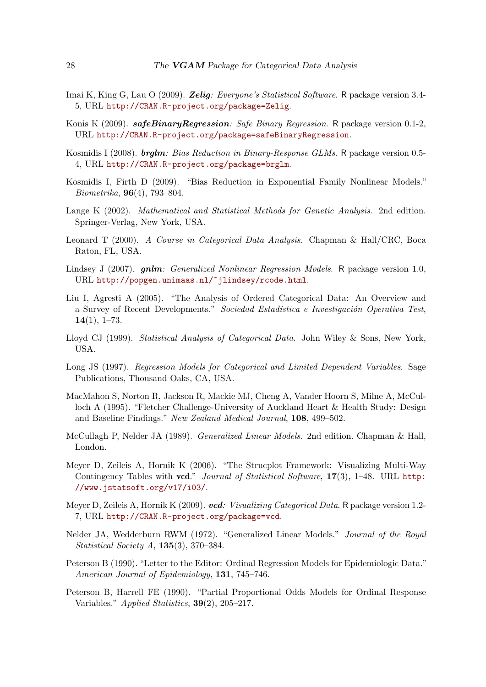- <span id="page-27-13"></span>Imai K, King G, Lau O (2009). **Zelig**: Everyone's Statistical Software. R package version 3.4-5, URL <http://CRAN.R-project.org/package=Zelig>.
- <span id="page-27-16"></span>Konis K (2009). safeBinaryRegression: Safe Binary Regression. R package version 0.1-2, URL <http://CRAN.R-project.org/package=safeBinaryRegression>.
- <span id="page-27-15"></span>Kosmidis I (2008). *brglm: Bias Reduction in Binary-Response GLMs*. R package version 0.5-4, URL <http://CRAN.R-project.org/package=brglm>.
- <span id="page-27-14"></span>Kosmidis I, Firth D (2009). "Bias Reduction in Exponential Family Nonlinear Models." Biometrika, 96(4), 793–804.
- <span id="page-27-11"></span>Lange K (2002). Mathematical and Statistical Methods for Genetic Analysis. 2nd edition. Springer-Verlag, New York, USA.
- <span id="page-27-2"></span>Leonard T (2000). A Course in Categorical Data Analysis. Chapman & Hall/CRC, Boca Raton, FL, USA.
- <span id="page-27-0"></span>Lindsey J (2007). *gnlm: Generalized Nonlinear Regression Models.* R package version 1.0, URL <http://popgen.unimaas.nl/~jlindsey/rcode.html>.
- <span id="page-27-6"></span>Liu I, Agresti A (2005). "The Analysis of Ordered Categorical Data: An Overview and a Survey of Recent Developments." Sociedad Estadística e Investigación Operativa Test,  $14(1), 1-73.$
- <span id="page-27-3"></span>Lloyd CJ (1999). Statistical Analysis of Categorical Data. John Wiley & Sons, New York, USA.
- <span id="page-27-4"></span>Long JS (1997). Regression Models for Categorical and Limited Dependent Variables. Sage Publications, Thousand Oaks, CA, USA.
- <span id="page-27-12"></span>MacMahon S, Norton R, Jackson R, Mackie MJ, Cheng A, Vander Hoorn S, Milne A, McCulloch A (1995). "Fletcher Challenge-University of Auckland Heart & Health Study: Design and Baseline Findings." New Zealand Medical Journal, 108, 499–502.
- <span id="page-27-5"></span>McCullagh P, Nelder JA (1989). Generalized Linear Models. 2nd edition. Chapman & Hall, London.
- <span id="page-27-7"></span>Meyer D, Zeileis A, Hornik K (2006). "The Strucplot Framework: Visualizing Multi-Way Contingency Tables with vcd." Journal of Statistical Software, 17(3), 1-48. URL [http:](http://www.jstatsoft.org/v17/i03/) [//www.jstatsoft.org/v17/i03/](http://www.jstatsoft.org/v17/i03/).
- <span id="page-27-8"></span>Meyer D, Zeileis A, Hornik K (2009). vcd: Visualizing Categorical Data. R package version 1.2-7, URL <http://CRAN.R-project.org/package=vcd>.
- <span id="page-27-1"></span>Nelder JA, Wedderburn RWM (1972). "Generalized Linear Models." Journal of the Royal Statistical Society A, 135(3), 370–384.
- <span id="page-27-10"></span>Peterson B (1990). "Letter to the Editor: Ordinal Regression Models for Epidemiologic Data." American Journal of Epidemiology, 131, 745–746.
- <span id="page-27-9"></span>Peterson B, Harrell FE (1990). "Partial Proportional Odds Models for Ordinal Response Variables." Applied Statistics, 39(2), 205–217.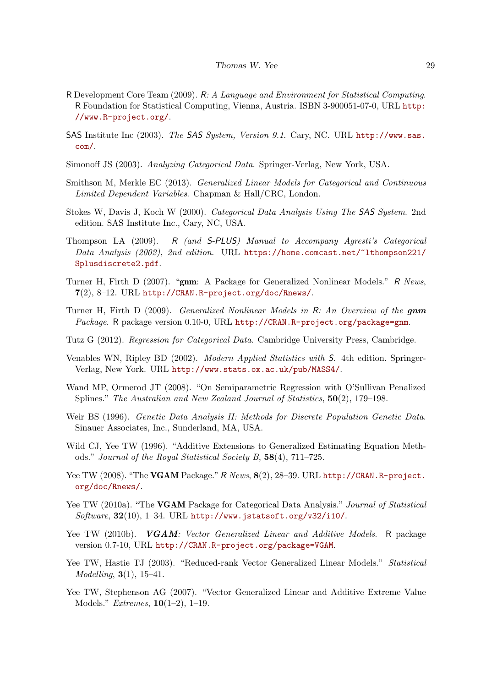- <span id="page-28-2"></span>R Development Core Team (2009). R: A Language and Environment for Statistical Computing. R Foundation for Statistical Computing, Vienna, Austria. ISBN 3-900051-07-0, URL [http:](http://www.R-project.org/) [//www.R-project.org/](http://www.R-project.org/).
- <span id="page-28-3"></span>SAS Institute Inc (2003). The SAS System, Version 9.1. Cary, NC. URL [http://www.sas.](http://www.sas.com/) [com/](http://www.sas.com/).
- <span id="page-28-6"></span>Simonoff JS (2003). Analyzing Categorical Data. Springer-Verlag, New York, USA.
- <span id="page-28-7"></span>Smithson M, Merkle EC (2013). Generalized Linear Models for Categorical and Continuous Limited Dependent Variables. Chapman & Hall/CRC, London.
- <span id="page-28-4"></span>Stokes W, Davis J, Koch W (2000). Categorical Data Analysis Using The SAS System. 2nd edition. SAS Institute Inc., Cary, NC, USA.
- <span id="page-28-9"></span>Thompson LA (2009). R (and S-PLUS) Manual to Accompany Agresti's Categorical Data Analysis (2002), 2nd edition. URL https://home.comcast.net/~1thompson221/ [Splusdiscrete2.pdf](https://home.comcast.net/~lthompson221/Splusdiscrete2.pdf).
- <span id="page-28-15"></span>Turner H, Firth D (2007). "gnm: A Package for Generalized Nonlinear Models." R News, 7(2), 8–12. URL <http://CRAN.R-project.org/doc/Rnews/>.
- <span id="page-28-16"></span>Turner H, Firth D (2009). Generalized Nonlinear Models in R: An Overview of the gnm Package. R package version 0.10-0, URL <http://CRAN.R-project.org/package=gnm>.
- <span id="page-28-8"></span>Tutz G (2012). Regression for Categorical Data. Cambridge University Press, Cambridge.
- <span id="page-28-1"></span>Venables WN, Ripley BD (2002). Modern Applied Statistics with S. 4th edition. Springer-Verlag, New York. URL <http://www.stats.ox.ac.uk/pub/MASS4/>.
- <span id="page-28-13"></span>Wand MP, Ormerod JT (2008). "On Semiparametric Regression with O'Sullivan Penalized Splines." The Australian and New Zealand Journal of Statistics, 50(2), 179–198.
- <span id="page-28-14"></span>Weir BS (1996). Genetic Data Analysis II: Methods for Discrete Population Genetic Data. Sinauer Associates, Inc., Sunderland, MA, USA.
- <span id="page-28-17"></span>Wild CJ, Yee TW (1996). "Additive Extensions to Generalized Estimating Equation Methods." Journal of the Royal Statistical Society B, 58(4), 711–725.
- <span id="page-28-11"></span>Yee TW  $(2008)$ . "The VGAM Package."  $R$  News,  $8(2)$ ,  $28-39$ . URL [http://CRAN.R-project.](http://CRAN.R-project.org/doc/Rnews/) [org/doc/Rnews/](http://CRAN.R-project.org/doc/Rnews/).
- <span id="page-28-0"></span>Yee TW (2010a). "The **VGAM** Package for Categorical Data Analysis." Journal of Statistical Software,  $32(10)$ , 1-34. URL <http://www.jstatsoft.org/v32/i10/>.
- <span id="page-28-5"></span>Yee TW (2010b). VGAM: Vector Generalized Linear and Additive Models. R package version 0.7-10, URL <http://CRAN.R-project.org/package=VGAM>.
- <span id="page-28-10"></span>Yee TW, Hastie TJ (2003). "Reduced-rank Vector Generalized Linear Models." Statistical Modelling, 3(1), 15–41.
- <span id="page-28-12"></span>Yee TW, Stephenson AG (2007). "Vector Generalized Linear and Additive Extreme Value Models." Extremes, 10(1–2), 1–19.